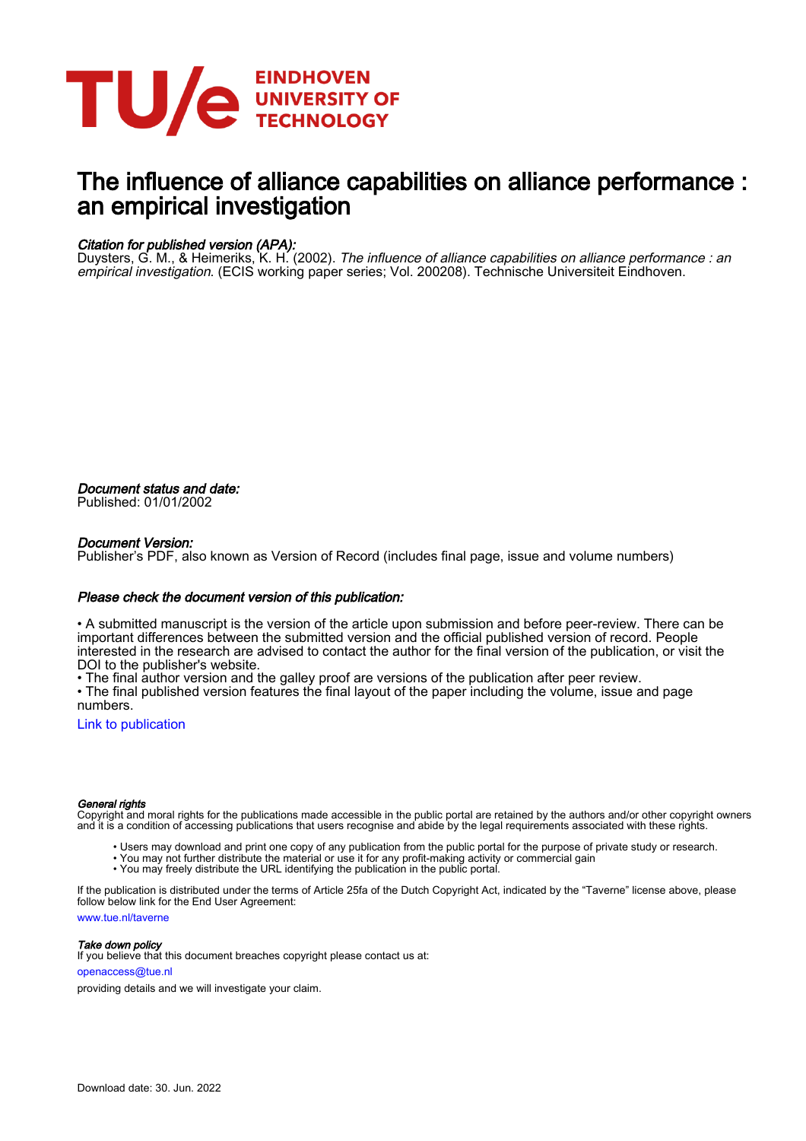

# The influence of alliance capabilities on alliance performance : an empirical investigation

#### Citation for published version (APA):

Duysters, G. M., & Heimeriks, K. H. (2002). *The influence of alliance capabilities on alliance performance : an* empirical investigation. (ECIS working paper series; Vol. 200208). Technische Universiteit Eindhoven.

Document status and date: Published: 01/01/2002

#### Document Version:

Publisher's PDF, also known as Version of Record (includes final page, issue and volume numbers)

#### Please check the document version of this publication:

• A submitted manuscript is the version of the article upon submission and before peer-review. There can be important differences between the submitted version and the official published version of record. People interested in the research are advised to contact the author for the final version of the publication, or visit the DOI to the publisher's website.

• The final author version and the galley proof are versions of the publication after peer review.

• The final published version features the final layout of the paper including the volume, issue and page numbers.

[Link to publication](https://research.tue.nl/en/publications/f67cee1c-a95f-4a37-90a0-39b56361e7ed)

#### General rights

Copyright and moral rights for the publications made accessible in the public portal are retained by the authors and/or other copyright owners and it is a condition of accessing publications that users recognise and abide by the legal requirements associated with these rights.

- Users may download and print one copy of any publication from the public portal for the purpose of private study or research.
- You may not further distribute the material or use it for any profit-making activity or commercial gain
- You may freely distribute the URL identifying the publication in the public portal.

If the publication is distributed under the terms of Article 25fa of the Dutch Copyright Act, indicated by the "Taverne" license above, please follow below link for the End User Agreement:

www.tue.nl/taverne

**Take down policy**<br>If you believe that this document breaches copyright please contact us at:

openaccess@tue.nl

providing details and we will investigate your claim.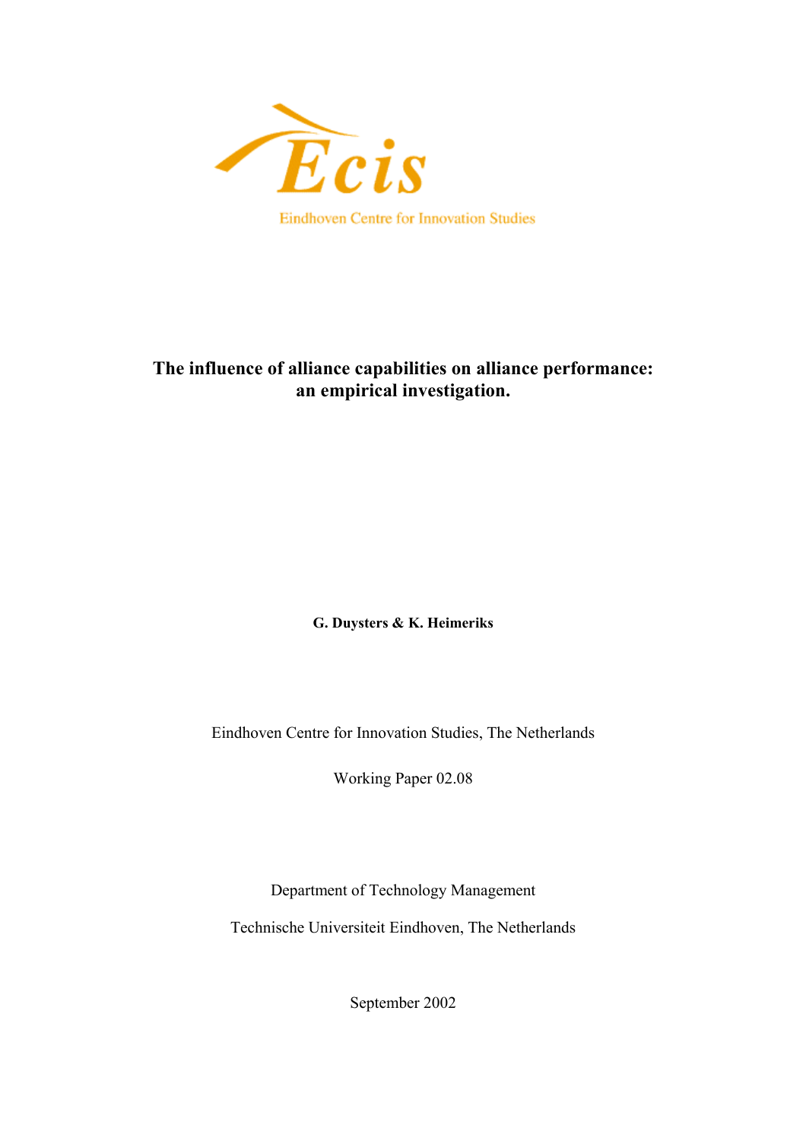

# **The influence of alliance capabilities on alliance performance: an empirical investigation.**

**G. Duysters & K. Heimeriks**

Eindhoven Centre for Innovation Studies, The Netherlands

Working Paper 02.08

Department of Technology Management

Technische Universiteit Eindhoven, The Netherlands

September 2002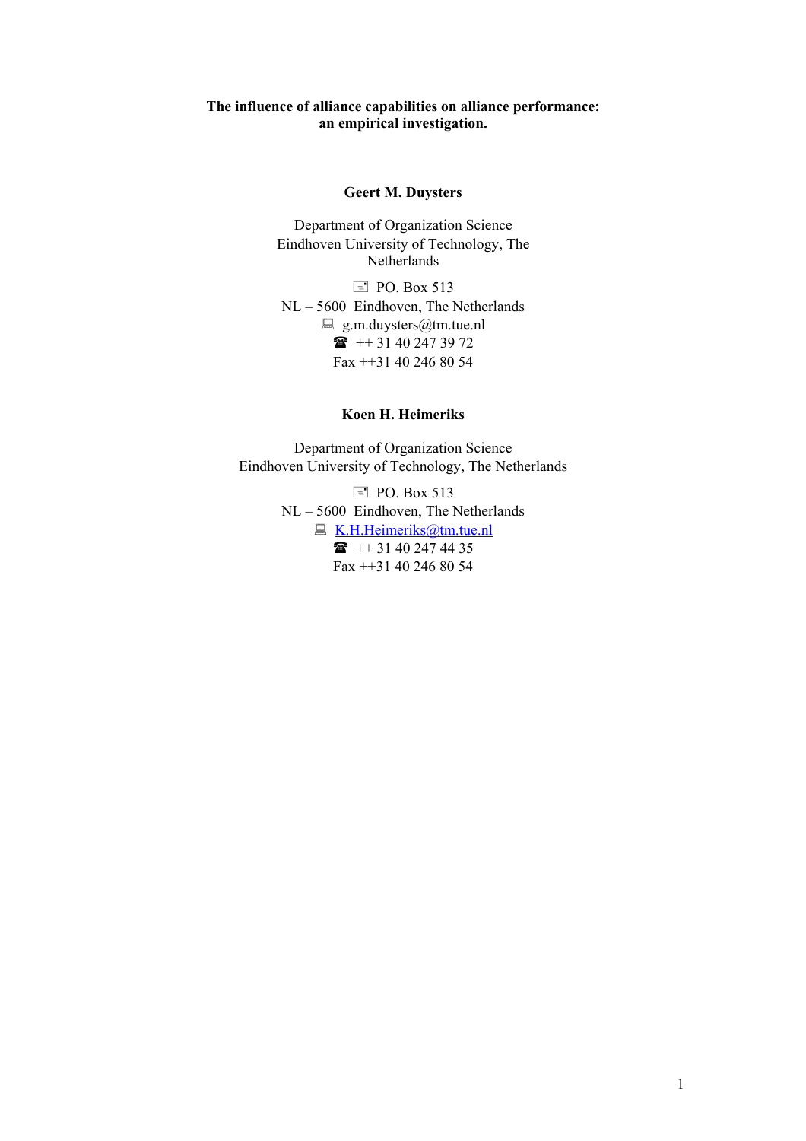#### **The influence of alliance capabilities on alliance performance: an empirical investigation.**

### **Geert M. Duysters**

Department of Organization Science Eindhoven University of Technology, The Netherlands

 $\equiv$  PO. Box 513 NL – 5600 Eindhoven, The Netherlands  $\Box$  g.m.duysters@tm.tue.nl  $\bullet$  ++ 31 40 247 39 72 Fax ++31 40 246 80 54

#### **Koen H. Heimeriks**

Department of Organization Science Eindhoven University of Technology, The Netherlands

> $\equiv$  PO. Box 513 NL – 5600 Eindhoven, The Netherlands  $\Box K.H.Heimeriks@tm.tue.nl$  $\Box K.H.Heimeriks@tm.tue.nl$  $\bullet$  ++ 31 40 247 44 35 Fax ++31 40 246 80 54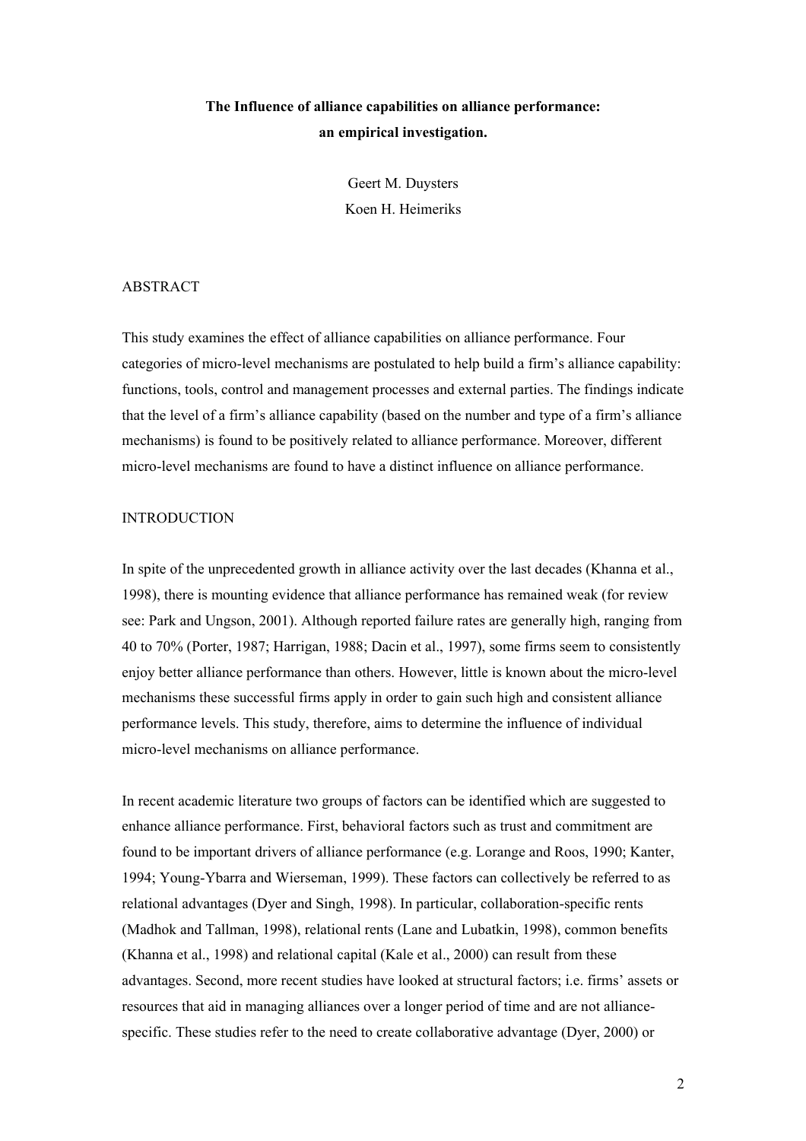## **The Influence of alliance capabilities on alliance performance: an empirical investigation.**

Geert M. Duysters Koen H. Heimeriks

#### ABSTRACT

This study examines the effect of alliance capabilities on alliance performance. Four categories of micro-level mechanisms are postulated to help build a firm's alliance capability: functions, tools, control and management processes and external parties. The findings indicate that the level of a firm's alliance capability (based on the number and type of a firm's alliance mechanisms) is found to be positively related to alliance performance. Moreover, different micro-level mechanisms are found to have a distinct influence on alliance performance.

#### **INTRODUCTION**

In spite of the unprecedented growth in alliance activity over the last decades (Khanna et al., 1998), there is mounting evidence that alliance performance has remained weak (for review see: Park and Ungson, 2001). Although reported failure rates are generally high, ranging from 40 to 70% (Porter, 1987; Harrigan, 1988; Dacin et al., 1997), some firms seem to consistently enjoy better alliance performance than others. However, little is known about the micro-level mechanisms these successful firms apply in order to gain such high and consistent alliance performance levels. This study, therefore, aims to determine the influence of individual micro-level mechanisms on alliance performance.

In recent academic literature two groups of factors can be identified which are suggested to enhance alliance performance. First, behavioral factors such as trust and commitment are found to be important drivers of alliance performance (e.g. Lorange and Roos, 1990; Kanter, 1994; Young-Ybarra and Wierseman, 1999). These factors can collectively be referred to as relational advantages (Dyer and Singh, 1998). In particular, collaboration-specific rents (Madhok and Tallman, 1998), relational rents (Lane and Lubatkin, 1998), common benefits (Khanna et al., 1998) and relational capital (Kale et al., 2000) can result from these advantages. Second, more recent studies have looked at structural factors; i.e. firms' assets or resources that aid in managing alliances over a longer period of time and are not alliancespecific. These studies refer to the need to create collaborative advantage (Dyer, 2000) or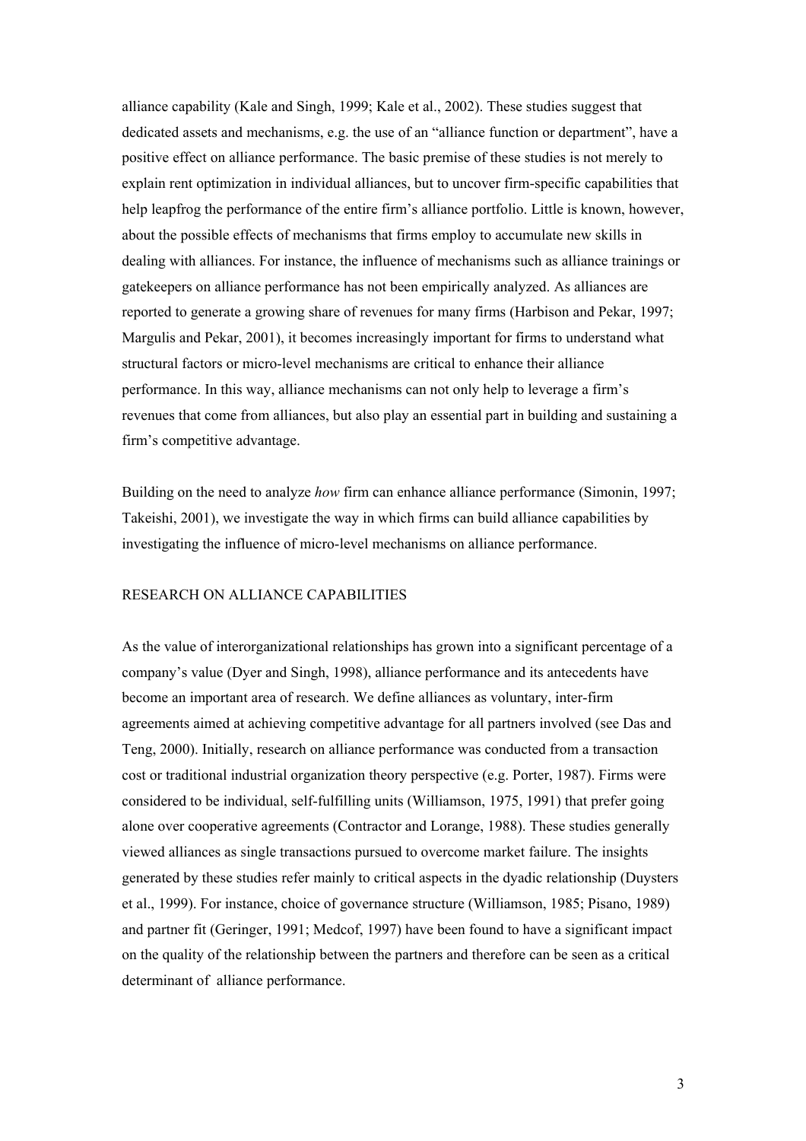alliance capability (Kale and Singh, 1999; Kale et al., 2002). These studies suggest that dedicated assets and mechanisms, e.g. the use of an "alliance function or department", have a positive effect on alliance performance. The basic premise of these studies is not merely to explain rent optimization in individual alliances, but to uncover firm-specific capabilities that help leapfrog the performance of the entire firm's alliance portfolio. Little is known, however, about the possible effects of mechanisms that firms employ to accumulate new skills in dealing with alliances. For instance, the influence of mechanisms such as alliance trainings or gatekeepers on alliance performance has not been empirically analyzed. As alliances are reported to generate a growing share of revenues for many firms (Harbison and Pekar, 1997; Margulis and Pekar, 2001), it becomes increasingly important for firms to understand what structural factors or micro-level mechanisms are critical to enhance their alliance performance. In this way, alliance mechanisms can not only help to leverage a firm's revenues that come from alliances, but also play an essential part in building and sustaining a firm's competitive advantage.

Building on the need to analyze *how* firm can enhance alliance performance (Simonin, 1997; Takeishi, 2001), we investigate the way in which firms can build alliance capabilities by investigating the influence of micro-level mechanisms on alliance performance.

#### RESEARCH ON ALLIANCE CAPABILITIES

As the value of interorganizational relationships has grown into a significant percentage of a company's value (Dyer and Singh, 1998), alliance performance and its antecedents have become an important area of research. We define alliances as voluntary, inter-firm agreements aimed at achieving competitive advantage for all partners involved (see Das and Teng, 2000). Initially, research on alliance performance was conducted from a transaction cost or traditional industrial organization theory perspective (e.g. Porter, 1987). Firms were considered to be individual, self-fulfilling units (Williamson, 1975, 1991) that prefer going alone over cooperative agreements (Contractor and Lorange, 1988). These studies generally viewed alliances as single transactions pursued to overcome market failure. The insights generated by these studies refer mainly to critical aspects in the dyadic relationship (Duysters et al., 1999). For instance, choice of governance structure (Williamson, 1985; Pisano, 1989) and partner fit (Geringer, 1991; Medcof, 1997) have been found to have a significant impact on the quality of the relationship between the partners and therefore can be seen as a critical determinant of alliance performance.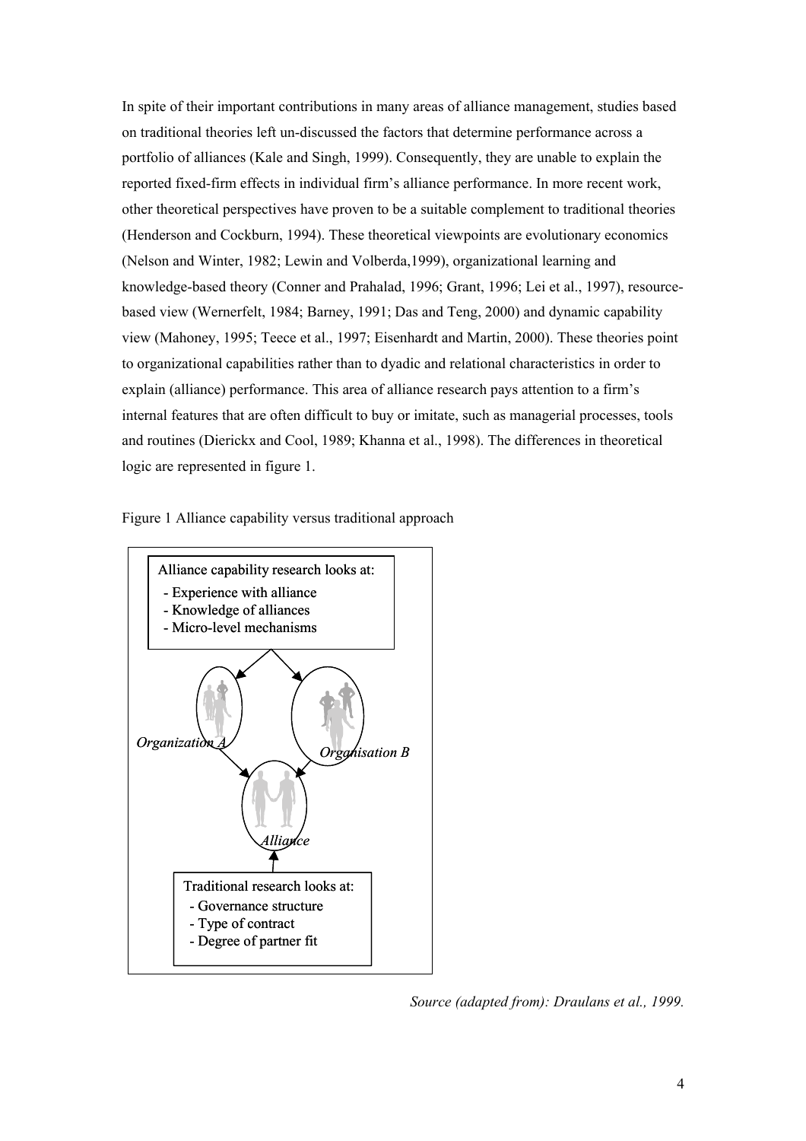In spite of their important contributions in many areas of alliance management, studies based on traditional theories left un-discussed the factors that determine performance across a portfolio of alliances (Kale and Singh, 1999). Consequently, they are unable to explain the reported fixed-firm effects in individual firm's alliance performance. In more recent work, other theoretical perspectives have proven to be a suitable complement to traditional theories (Henderson and Cockburn, 1994). These theoretical viewpoints are evolutionary economics (Nelson and Winter, 1982; Lewin and Volberda,1999), organizational learning and knowledge-based theory (Conner and Prahalad, 1996; Grant, 1996; Lei et al., 1997), resourcebased view (Wernerfelt, 1984; Barney, 1991; Das and Teng, 2000) and dynamic capability view (Mahoney, 1995; Teece et al., 1997; Eisenhardt and Martin, 2000). These theories point to organizational capabilities rather than to dyadic and relational characteristics in order to explain (alliance) performance. This area of alliance research pays attention to a firm's internal features that are often difficult to buy or imitate, such as managerial processes, tools and routines (Dierickx and Cool, 1989; Khanna et al., 1998). The differences in theoretical logic are represented in figure 1.

Figure 1 Alliance capability versus traditional approach



*Source (adapted from): Draulans et al., 1999.*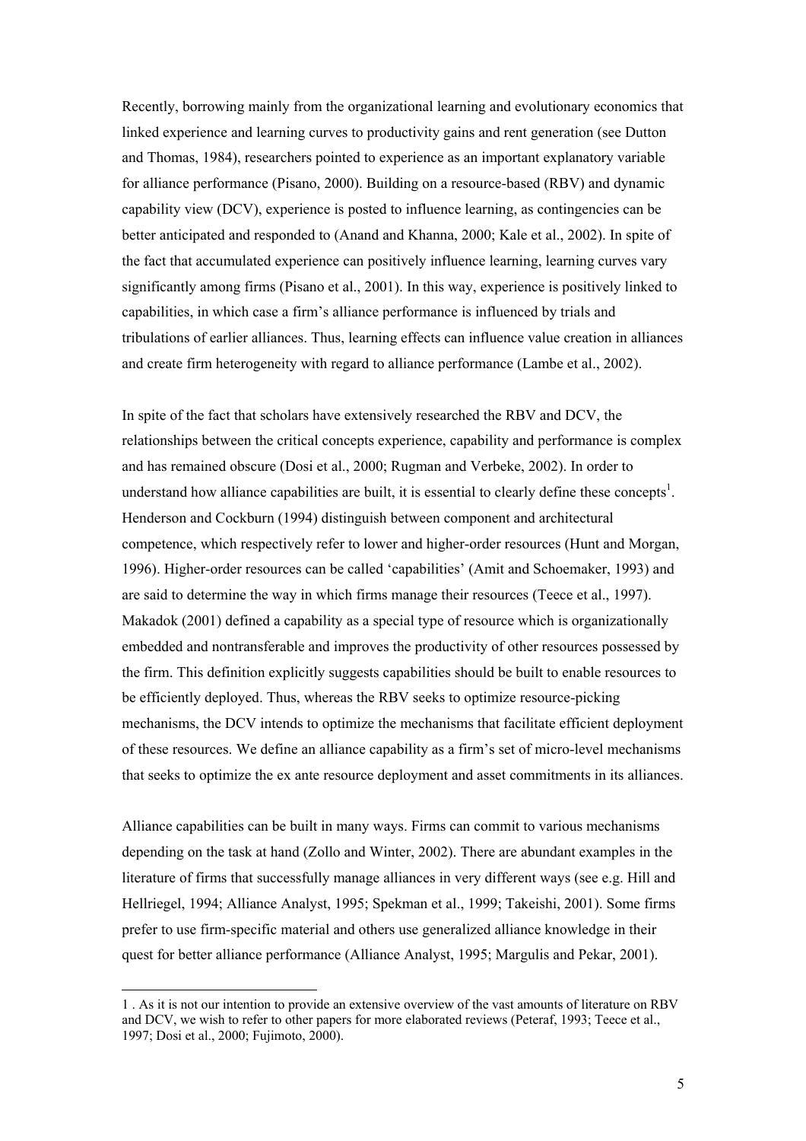Recently, borrowing mainly from the organizational learning and evolutionary economics that linked experience and learning curves to productivity gains and rent generation (see Dutton and Thomas, 1984), researchers pointed to experience as an important explanatory variable for alliance performance (Pisano, 2000). Building on a resource-based (RBV) and dynamic capability view (DCV), experience is posted to influence learning, as contingencies can be better anticipated and responded to (Anand and Khanna, 2000; Kale et al., 2002). In spite of the fact that accumulated experience can positively influence learning, learning curves vary significantly among firms (Pisano et al., 2001). In this way, experience is positively linked to capabilities, in which case a firm's alliance performance is influenced by trials and tribulations of earlier alliances. Thus, learning effects can influence value creation in alliances and create firm heterogeneity with regard to alliance performance (Lambe et al., 2002).

In spite of the fact that scholars have extensively researched the RBV and DCV, the relationships between the critical concepts experience, capability and performance is complex and has remained obscure (Dosi et al., 2000; Rugman and Verbeke, 2002). In order to understand how alliance capabilities are built, it is essential to clearly define these concepts<sup>1</sup>. Henderson and Cockburn (1994) distinguish between component and architectural competence, which respectively refer to lower and higher-order resources (Hunt and Morgan, 1996). Higher-order resources can be called 'capabilities' (Amit and Schoemaker, 1993) and are said to determine the way in which firms manage their resources (Teece et al., 1997). Makadok (2001) defined a capability as a special type of resource which is organizationally embedded and nontransferable and improves the productivity of other resources possessed by the firm. This definition explicitly suggests capabilities should be built to enable resources to be efficiently deployed. Thus, whereas the RBV seeks to optimize resource-picking mechanisms, the DCV intends to optimize the mechanisms that facilitate efficient deployment of these resources. We define an alliance capability as a firm's set of micro-level mechanisms that seeks to optimize the ex ante resource deployment and asset commitments in its alliances.

Alliance capabilities can be built in many ways. Firms can commit to various mechanisms depending on the task at hand (Zollo and Winter, 2002). There are abundant examples in the literature of firms that successfully manage alliances in very different ways (see e.g. Hill and Hellriegel, 1994; Alliance Analyst, 1995; Spekman et al., 1999; Takeishi, 2001). Some firms prefer to use firm-specific material and others use generalized alliance knowledge in their quest for better alliance performance (Alliance Analyst, 1995; Margulis and Pekar, 2001).

l

<span id="page-6-0"></span><sup>1 .</sup> As it is not our intention to provide an extensive overview of the vast amounts of literature on RBV and DCV, we wish to refer to other papers for more elaborated reviews (Peteraf, 1993; Teece et al., 1997; Dosi et al., 2000; Fujimoto, 2000).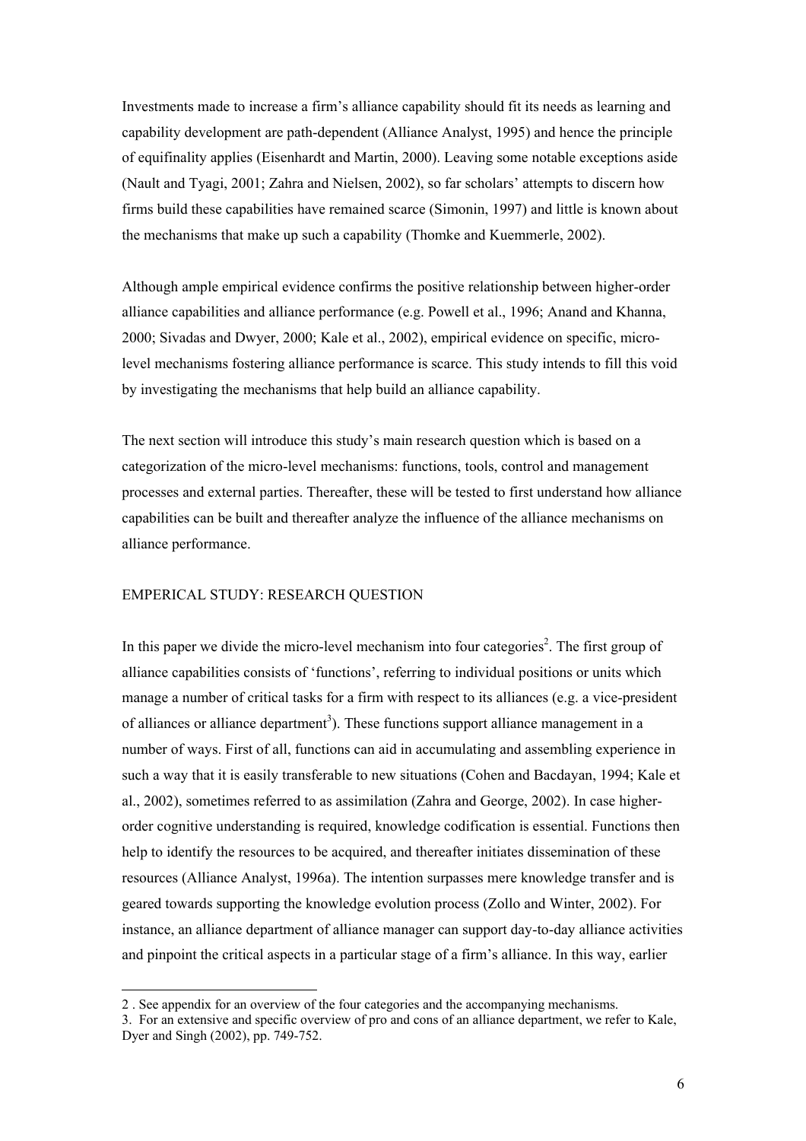Investments made to increase a firm's alliance capability should fit its needs as learning and capability development are path-dependent (Alliance Analyst, 1995) and hence the principle of equifinality applies (Eisenhardt and Martin, 2000). Leaving some notable exceptions aside (Nault and Tyagi, 2001; Zahra and Nielsen, 2002), so far scholars' attempts to discern how firms build these capabilities have remained scarce (Simonin, 1997) and little is known about the mechanisms that make up such a capability (Thomke and Kuemmerle, 2002).

Although ample empirical evidence confirms the positive relationship between higher-order alliance capabilities and alliance performance (e.g. Powell et al., 1996; Anand and Khanna, 2000; Sivadas and Dwyer, 2000; Kale et al., 2002), empirical evidence on specific, microlevel mechanisms fostering alliance performance is scarce. This study intends to fill this void by investigating the mechanisms that help build an alliance capability.

The next section will introduce this study's main research question which is based on a categorization of the micro-level mechanisms: functions, tools, control and management processes and external parties. Thereafter, these will be tested to first understand how alliance capabilities can be built and thereafter analyze the influence of the alliance mechanisms on alliance performance.

#### EMPERICAL STUDY: RESEARCH QUESTION

l

In this paper we divide the micro-level mechanism into four categories<sup>2</sup>[.](#page-7-0) The first group of alliance capabilities consists of 'functions', referring to individual positions or units which manage a number of critical tasks for a firm with respect to its alliances (e.g. a vice-president of alliances or alliance department<sup>[3](#page-7-1)</sup>). These functions support alliance management in a number of ways. First of all, functions can aid in accumulating and assembling experience in such a way that it is easily transferable to new situations (Cohen and Bacdayan, 1994; Kale et al., 2002), sometimes referred to as assimilation (Zahra and George, 2002). In case higherorder cognitive understanding is required, knowledge codification is essential. Functions then help to identify the resources to be acquired, and thereafter initiates dissemination of these resources (Alliance Analyst, 1996a). The intention surpasses mere knowledge transfer and is geared towards supporting the knowledge evolution process (Zollo and Winter, 2002). For instance, an alliance department of alliance manager can support day-to-day alliance activities and pinpoint the critical aspects in a particular stage of a firm's alliance. In this way, earlier

<span id="page-7-0"></span><sup>2 .</sup> See appendix for an overview of the four categories and the accompanying mechanisms.

<span id="page-7-1"></span><sup>3.</sup> For an extensive and specific overview of pro and cons of an alliance department, we refer to Kale, Dyer and Singh (2002), pp. 749-752.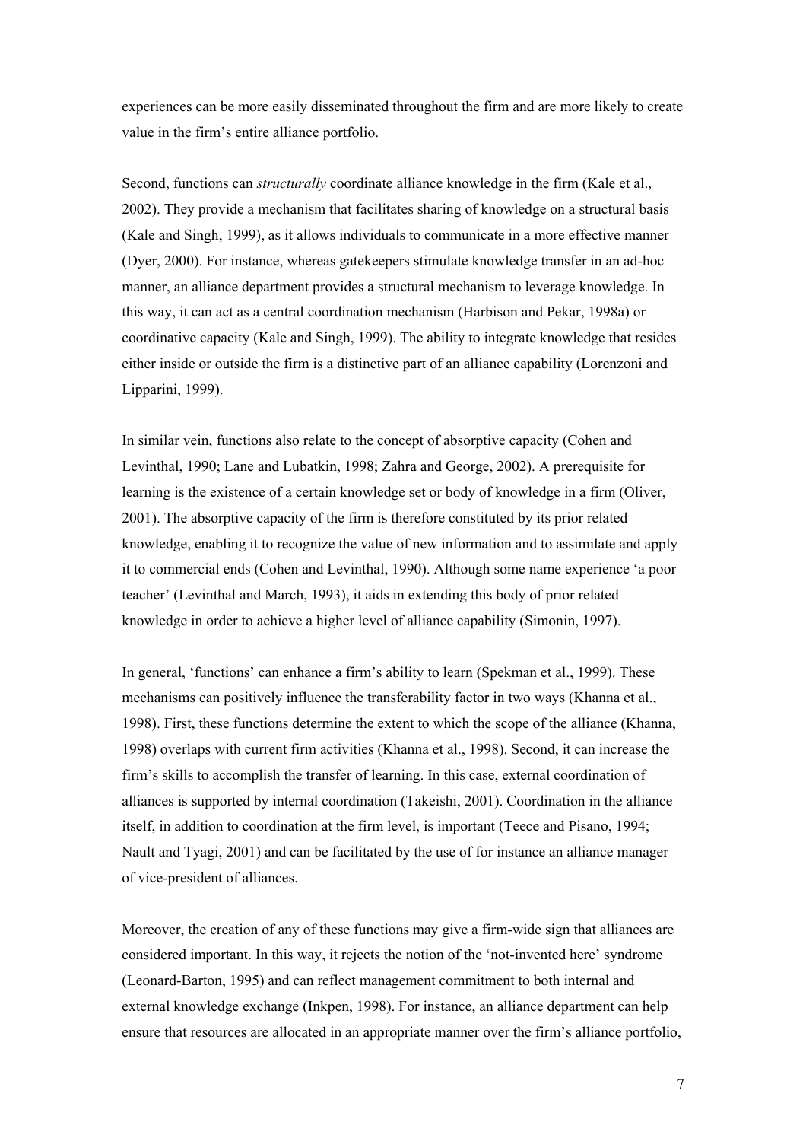experiences can be more easily disseminated throughout the firm and are more likely to create value in the firm's entire alliance portfolio.

Second, functions can *structurally* coordinate alliance knowledge in the firm (Kale et al., 2002). They provide a mechanism that facilitates sharing of knowledge on a structural basis (Kale and Singh, 1999), as it allows individuals to communicate in a more effective manner (Dyer, 2000). For instance, whereas gatekeepers stimulate knowledge transfer in an ad-hoc manner, an alliance department provides a structural mechanism to leverage knowledge. In this way, it can act as a central coordination mechanism (Harbison and Pekar, 1998a) or coordinative capacity (Kale and Singh, 1999). The ability to integrate knowledge that resides either inside or outside the firm is a distinctive part of an alliance capability (Lorenzoni and Lipparini, 1999).

In similar vein, functions also relate to the concept of absorptive capacity (Cohen and Levinthal, 1990; Lane and Lubatkin, 1998; Zahra and George, 2002). A prerequisite for learning is the existence of a certain knowledge set or body of knowledge in a firm (Oliver, 2001). The absorptive capacity of the firm is therefore constituted by its prior related knowledge, enabling it to recognize the value of new information and to assimilate and apply it to commercial ends (Cohen and Levinthal, 1990). Although some name experience 'a poor teacher' (Levinthal and March, 1993), it aids in extending this body of prior related knowledge in order to achieve a higher level of alliance capability (Simonin, 1997).

In general, 'functions' can enhance a firm's ability to learn (Spekman et al., 1999). These mechanisms can positively influence the transferability factor in two ways (Khanna et al., 1998). First, these functions determine the extent to which the scope of the alliance (Khanna, 1998) overlaps with current firm activities (Khanna et al., 1998). Second, it can increase the firm's skills to accomplish the transfer of learning. In this case, external coordination of alliances is supported by internal coordination (Takeishi, 2001). Coordination in the alliance itself, in addition to coordination at the firm level, is important (Teece and Pisano, 1994; Nault and Tyagi, 2001) and can be facilitated by the use of for instance an alliance manager of vice-president of alliances.

Moreover, the creation of any of these functions may give a firm-wide sign that alliances are considered important. In this way, it rejects the notion of the 'not-invented here' syndrome (Leonard-Barton, 1995) and can reflect management commitment to both internal and external knowledge exchange (Inkpen, 1998). For instance, an alliance department can help ensure that resources are allocated in an appropriate manner over the firm's alliance portfolio,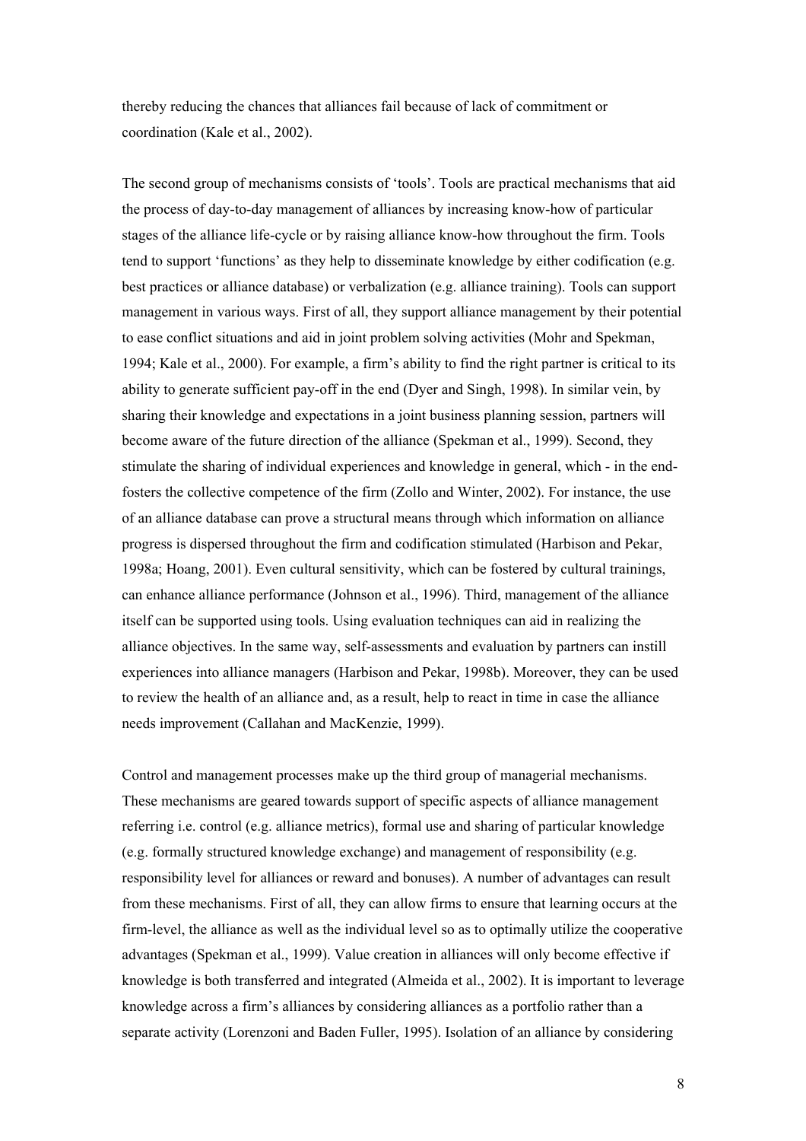thereby reducing the chances that alliances fail because of lack of commitment or coordination (Kale et al., 2002).

The second group of mechanisms consists of 'tools'. Tools are practical mechanisms that aid the process of day-to-day management of alliances by increasing know-how of particular stages of the alliance life-cycle or by raising alliance know-how throughout the firm. Tools tend to support 'functions' as they help to disseminate knowledge by either codification (e.g. best practices or alliance database) or verbalization (e.g. alliance training). Tools can support management in various ways. First of all, they support alliance management by their potential to ease conflict situations and aid in joint problem solving activities (Mohr and Spekman, 1994; Kale et al., 2000). For example, a firm's ability to find the right partner is critical to its ability to generate sufficient pay-off in the end (Dyer and Singh, 1998). In similar vein, by sharing their knowledge and expectations in a joint business planning session, partners will become aware of the future direction of the alliance (Spekman et al., 1999). Second, they stimulate the sharing of individual experiences and knowledge in general, which - in the endfosters the collective competence of the firm (Zollo and Winter, 2002). For instance, the use of an alliance database can prove a structural means through which information on alliance progress is dispersed throughout the firm and codification stimulated (Harbison and Pekar, 1998a; Hoang, 2001). Even cultural sensitivity, which can be fostered by cultural trainings, can enhance alliance performance (Johnson et al., 1996). Third, management of the alliance itself can be supported using tools. Using evaluation techniques can aid in realizing the alliance objectives. In the same way, self-assessments and evaluation by partners can instill experiences into alliance managers (Harbison and Pekar, 1998b). Moreover, they can be used to review the health of an alliance and, as a result, help to react in time in case the alliance needs improvement (Callahan and MacKenzie, 1999).

Control and management processes make up the third group of managerial mechanisms. These mechanisms are geared towards support of specific aspects of alliance management referring i.e. control (e.g. alliance metrics), formal use and sharing of particular knowledge (e.g. formally structured knowledge exchange) and management of responsibility (e.g. responsibility level for alliances or reward and bonuses). A number of advantages can result from these mechanisms. First of all, they can allow firms to ensure that learning occurs at the firm-level, the alliance as well as the individual level so as to optimally utilize the cooperative advantages (Spekman et al., 1999). Value creation in alliances will only become effective if knowledge is both transferred and integrated (Almeida et al., 2002). It is important to leverage knowledge across a firm's alliances by considering alliances as a portfolio rather than a separate activity (Lorenzoni and Baden Fuller, 1995). Isolation of an alliance by considering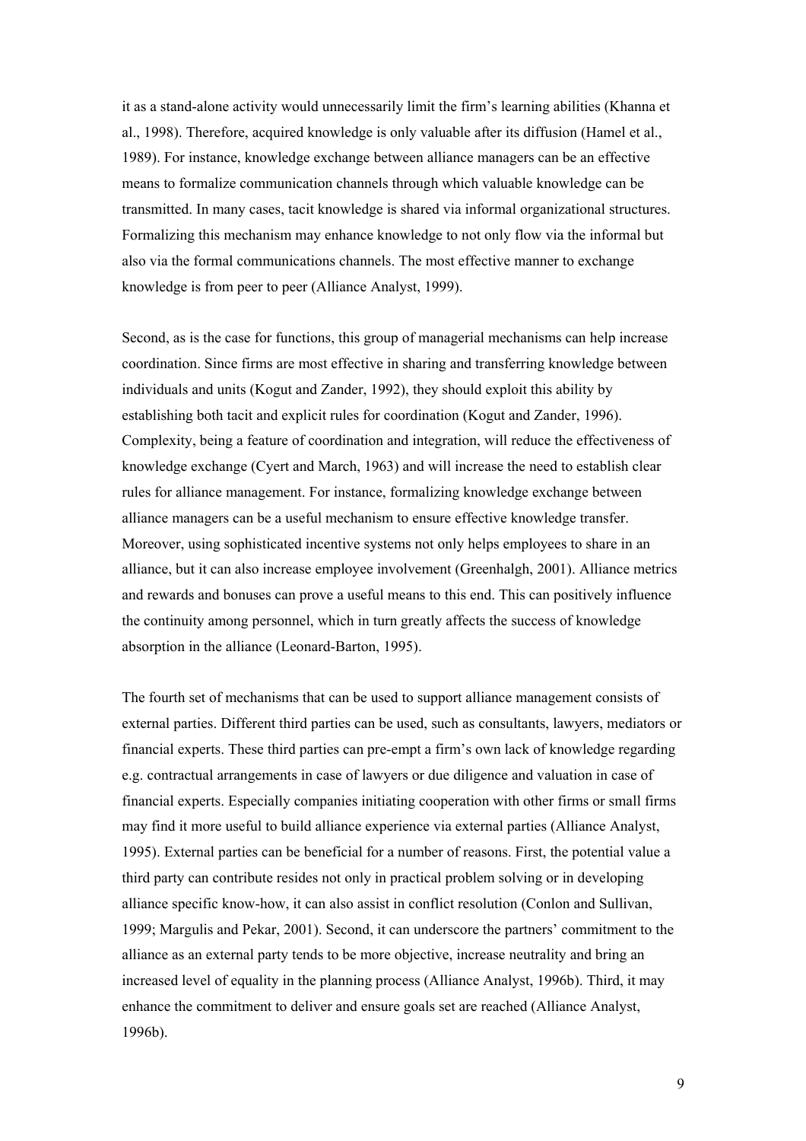it as a stand-alone activity would unnecessarily limit the firm's learning abilities (Khanna et al., 1998). Therefore, acquired knowledge is only valuable after its diffusion (Hamel et al., 1989). For instance, knowledge exchange between alliance managers can be an effective means to formalize communication channels through which valuable knowledge can be transmitted. In many cases, tacit knowledge is shared via informal organizational structures. Formalizing this mechanism may enhance knowledge to not only flow via the informal but also via the formal communications channels. The most effective manner to exchange knowledge is from peer to peer (Alliance Analyst, 1999).

Second, as is the case for functions, this group of managerial mechanisms can help increase coordination. Since firms are most effective in sharing and transferring knowledge between individuals and units (Kogut and Zander, 1992), they should exploit this ability by establishing both tacit and explicit rules for coordination (Kogut and Zander, 1996). Complexity, being a feature of coordination and integration, will reduce the effectiveness of knowledge exchange (Cyert and March, 1963) and will increase the need to establish clear rules for alliance management. For instance, formalizing knowledge exchange between alliance managers can be a useful mechanism to ensure effective knowledge transfer. Moreover, using sophisticated incentive systems not only helps employees to share in an alliance, but it can also increase employee involvement (Greenhalgh, 2001). Alliance metrics and rewards and bonuses can prove a useful means to this end. This can positively influence the continuity among personnel, which in turn greatly affects the success of knowledge absorption in the alliance (Leonard-Barton, 1995).

The fourth set of mechanisms that can be used to support alliance management consists of external parties. Different third parties can be used, such as consultants, lawyers, mediators or financial experts. These third parties can pre-empt a firm's own lack of knowledge regarding e.g. contractual arrangements in case of lawyers or due diligence and valuation in case of financial experts. Especially companies initiating cooperation with other firms or small firms may find it more useful to build alliance experience via external parties (Alliance Analyst, 1995). External parties can be beneficial for a number of reasons. First, the potential value a third party can contribute resides not only in practical problem solving or in developing alliance specific know-how, it can also assist in conflict resolution (Conlon and Sullivan, 1999; Margulis and Pekar, 2001). Second, it can underscore the partners' commitment to the alliance as an external party tends to be more objective, increase neutrality and bring an increased level of equality in the planning process (Alliance Analyst, 1996b). Third, it may enhance the commitment to deliver and ensure goals set are reached (Alliance Analyst, 1996b).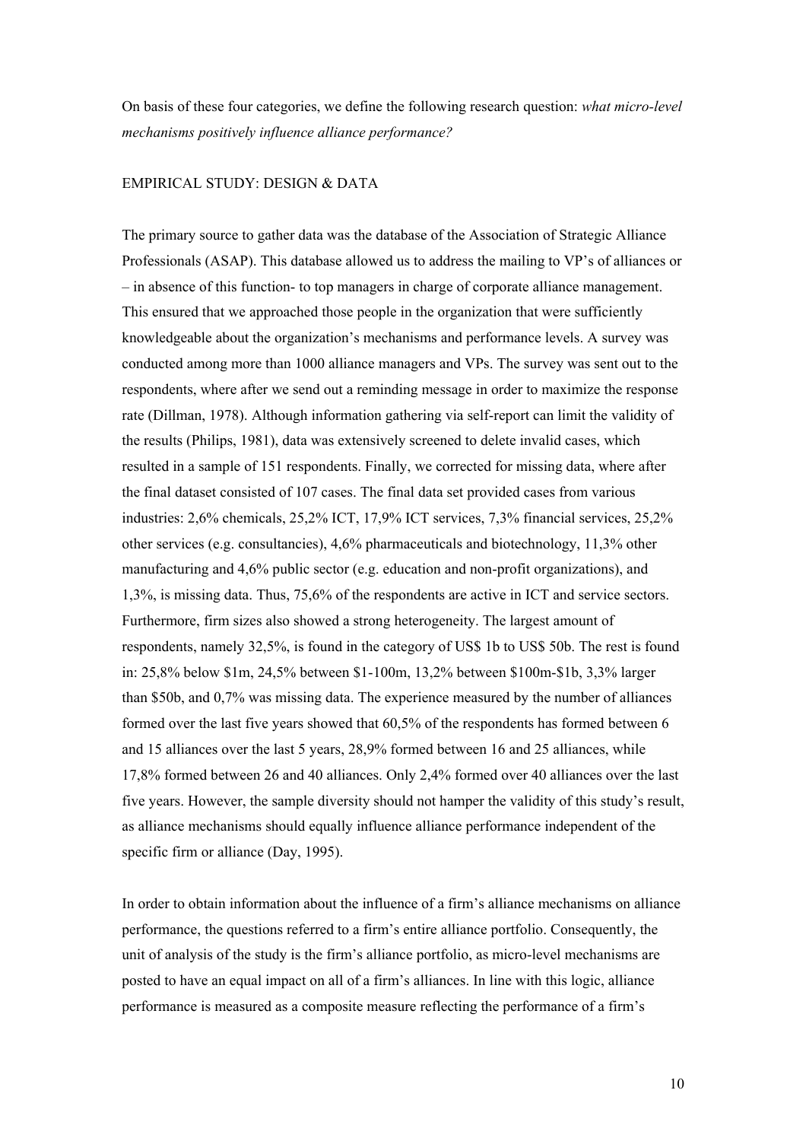On basis of these four categories, we define the following research question: *what micro-level mechanisms positively influence alliance performance?*

#### EMPIRICAL STUDY: DESIGN & DATA

The primary source to gather data was the database of the Association of Strategic Alliance Professionals (ASAP). This database allowed us to address the mailing to VP's of alliances or – in absence of this function- to top managers in charge of corporate alliance management. This ensured that we approached those people in the organization that were sufficiently knowledgeable about the organization's mechanisms and performance levels. A survey was conducted among more than 1000 alliance managers and VPs. The survey was sent out to the respondents, where after we send out a reminding message in order to maximize the response rate (Dillman, 1978). Although information gathering via self-report can limit the validity of the results (Philips, 1981), data was extensively screened to delete invalid cases, which resulted in a sample of 151 respondents. Finally, we corrected for missing data, where after the final dataset consisted of 107 cases. The final data set provided cases from various industries: 2,6% chemicals, 25,2% ICT, 17,9% ICT services, 7,3% financial services, 25,2% other services (e.g. consultancies), 4,6% pharmaceuticals and biotechnology, 11,3% other manufacturing and 4,6% public sector (e.g. education and non-profit organizations), and 1,3%, is missing data. Thus, 75,6% of the respondents are active in ICT and service sectors. Furthermore, firm sizes also showed a strong heterogeneity. The largest amount of respondents, namely 32,5%, is found in the category of US\$ 1b to US\$ 50b. The rest is found in: 25,8% below \$1m, 24,5% between \$1-100m, 13,2% between \$100m-\$1b, 3,3% larger than \$50b, and 0,7% was missing data. The experience measured by the number of alliances formed over the last five years showed that 60,5% of the respondents has formed between 6 and 15 alliances over the last 5 years, 28,9% formed between 16 and 25 alliances, while 17,8% formed between 26 and 40 alliances. Only 2,4% formed over 40 alliances over the last five years. However, the sample diversity should not hamper the validity of this study's result, as alliance mechanisms should equally influence alliance performance independent of the specific firm or alliance (Day, 1995).

In order to obtain information about the influence of a firm's alliance mechanisms on alliance performance, the questions referred to a firm's entire alliance portfolio. Consequently, the unit of analysis of the study is the firm's alliance portfolio, as micro-level mechanisms are posted to have an equal impact on all of a firm's alliances. In line with this logic, alliance performance is measured as a composite measure reflecting the performance of a firm's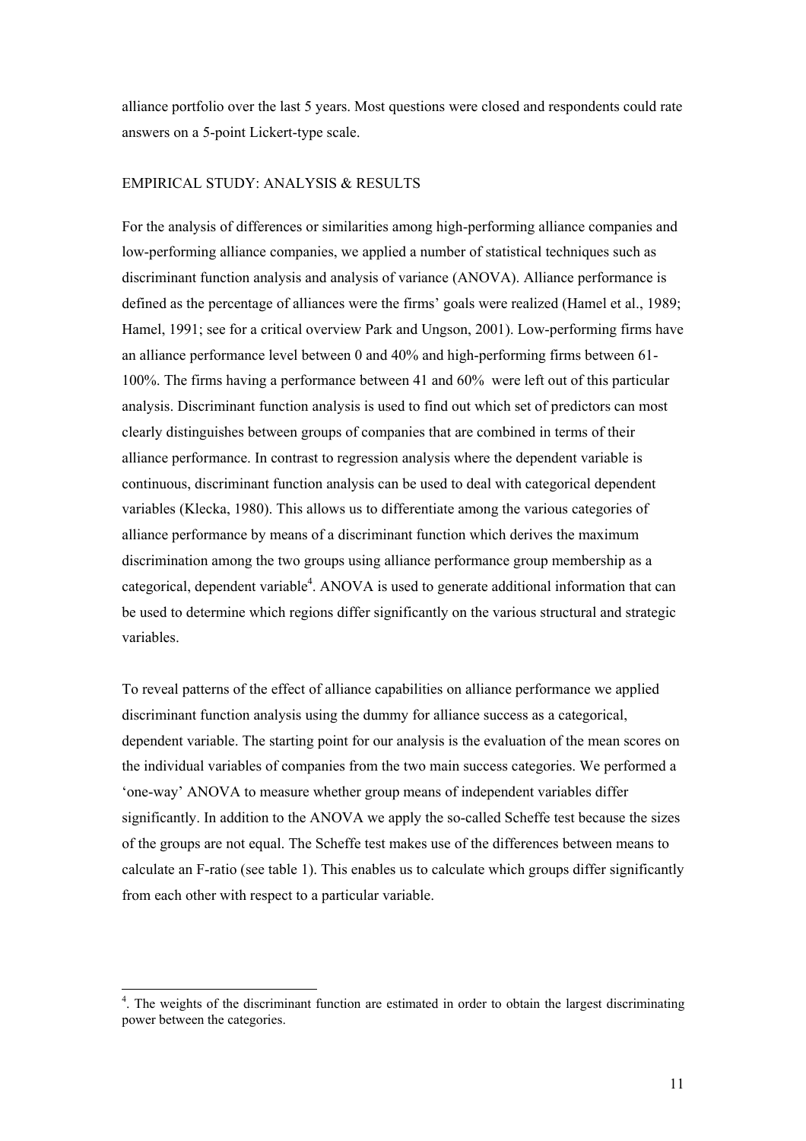alliance portfolio over the last 5 years. Most questions were closed and respondents could rate answers on a 5-point Lickert-type scale.

#### EMPIRICAL STUDY: ANALYSIS & RESULTS

For the analysis of differences or similarities among high-performing alliance companies and low-performing alliance companies, we applied a number of statistical techniques such as discriminant function analysis and analysis of variance (ANOVA). Alliance performance is defined as the percentage of alliances were the firms' goals were realized (Hamel et al., 1989; Hamel, 1991; see for a critical overview Park and Ungson, 2001). Low-performing firms have an alliance performance level between 0 and 40% and high-performing firms between 61- 100%. The firms having a performance between 41 and 60% were left out of this particular analysis. Discriminant function analysis is used to find out which set of predictors can most clearly distinguishes between groups of companies that are combined in terms of their alliance performance. In contrast to regression analysis where the dependent variable is continuous, discriminant function analysis can be used to deal with categorical dependent variables (Klecka, 1980). This allows us to differentiate among the various categories of alliance performance by means of a discriminant function which derives the maximum discrimination among the two groups using alliance performance group membership as a categorical, dependent variable<sup>4</sup>. ANOVA is used to generate additional information that can be used to determine which regions differ significantly on the various structural and strategic variables.

To reveal patterns of the effect of alliance capabilities on alliance performance we applied discriminant function analysis using the dummy for alliance success as a categorical, dependent variable. The starting point for our analysis is the evaluation of the mean scores on the individual variables of companies from the two main success categories. We performed a 'one-way' ANOVA to measure whether group means of independent variables differ significantly. In addition to the ANOVA we apply the so-called Scheffe test because the sizes of the groups are not equal. The Scheffe test makes use of the differences between means to calculate an F-ratio (see table 1). This enables us to calculate which groups differ significantly from each other with respect to a particular variable.

<span id="page-12-0"></span> $\frac{1}{4}$  $\frac{4}{1}$ . The weights of the discriminant function are estimated in order to obtain the largest discriminating power between the categories.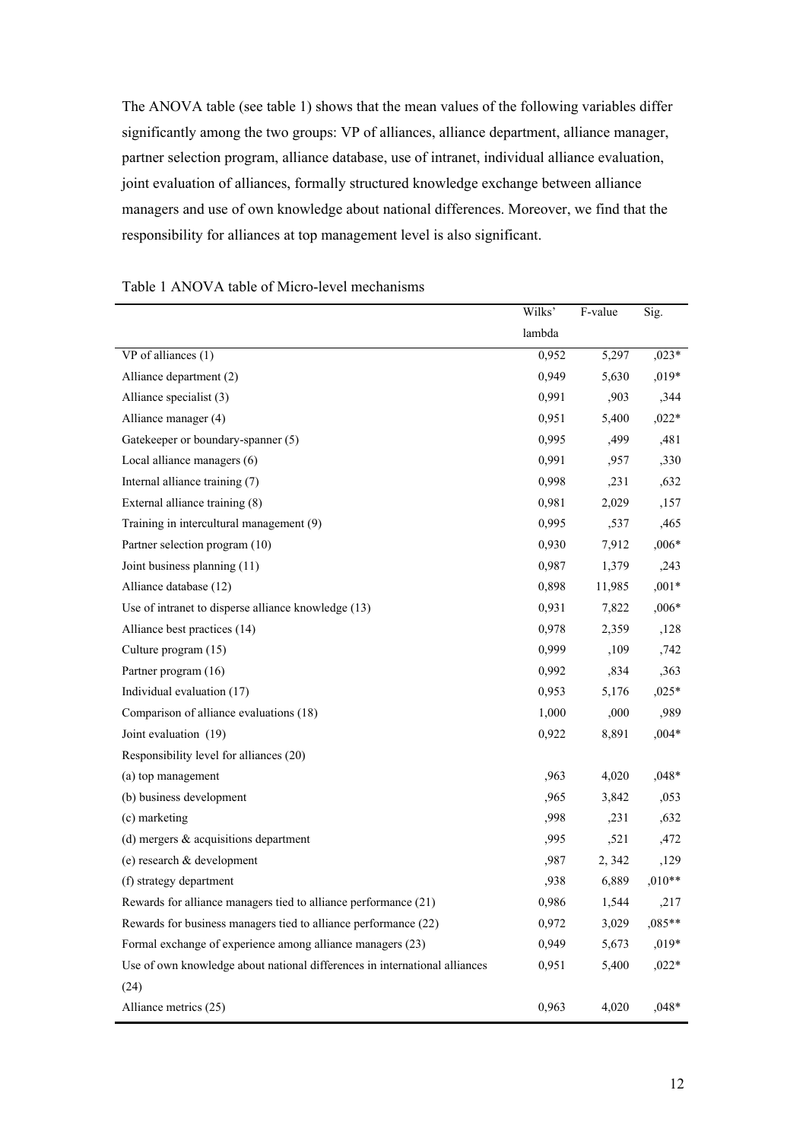The ANOVA table (see table 1) shows that the mean values of the following variables differ significantly among the two groups: VP of alliances, alliance department, alliance manager, partner selection program, alliance database, use of intranet, individual alliance evaluation, joint evaluation of alliances, formally structured knowledge exchange between alliance managers and use of own knowledge about national differences. Moreover, we find that the responsibility for alliances at top management level is also significant.

|                                                                            | Wilks' | F-value | Sig.     |
|----------------------------------------------------------------------------|--------|---------|----------|
|                                                                            | lambda |         |          |
| VP of alliances (1)                                                        | 0,952  | 5,297   | $,023*$  |
| Alliance department (2)                                                    | 0,949  | 5,630   | $,019*$  |
| Alliance specialist (3)                                                    | 0,991  | ,903    | ,344     |
| Alliance manager (4)                                                       | 0,951  | 5,400   | $,022*$  |
| Gatekeeper or boundary-spanner (5)                                         | 0,995  | ,499    | ,481     |
| Local alliance managers (6)                                                | 0,991  | ,957    | ,330     |
| Internal alliance training (7)                                             | 0,998  | ,231    | ,632     |
| External alliance training (8)                                             | 0,981  | 2,029   | ,157     |
| Training in intercultural management (9)                                   | 0,995  | ,537    | ,465     |
| Partner selection program (10)                                             | 0,930  | 7,912   | $,006*$  |
| Joint business planning (11)                                               | 0,987  | 1,379   | ,243     |
| Alliance database (12)                                                     | 0,898  | 11,985  | $,001*$  |
| Use of intranet to disperse alliance knowledge (13)                        | 0,931  | 7,822   | $,006*$  |
| Alliance best practices (14)                                               | 0,978  | 2,359   | ,128     |
| Culture program (15)                                                       | 0,999  | ,109    | ,742     |
| Partner program (16)                                                       | 0,992  | ,834    | ,363     |
| Individual evaluation (17)                                                 | 0,953  | 5,176   | $,025*$  |
| Comparison of alliance evaluations (18)                                    | 1,000  | ,000    | ,989     |
| Joint evaluation (19)                                                      | 0,922  | 8,891   | $,004*$  |
| Responsibility level for alliances (20)                                    |        |         |          |
| (a) top management                                                         | ,963   | 4,020   | $,048*$  |
| (b) business development                                                   | ,965   | 3,842   | ,053     |
| (c) marketing                                                              | ,998   | ,231    | ,632     |
| (d) mergers $\&$ acquisitions department                                   | ,995   | ,521    | ,472     |
| (e) research & development                                                 | ,987   | 2, 342  | ,129     |
| (f) strategy department                                                    | ,938   | 6,889   | $,010**$ |
| Rewards for alliance managers tied to alliance performance (21)            | 0,986  | 1,544   | ,217     |
| Rewards for business managers tied to alliance performance (22)            | 0,972  | 3,029   | $,085**$ |
| Formal exchange of experience among alliance managers (23)                 | 0,949  | 5,673   | ,019*    |
| Use of own knowledge about national differences in international alliances | 0,951  | 5,400   | $,022*$  |
| (24)                                                                       |        |         |          |
| Alliance metrics (25)                                                      | 0,963  | 4,020   | $,048*$  |

#### Table 1 ANOVA table of Micro-level mechanisms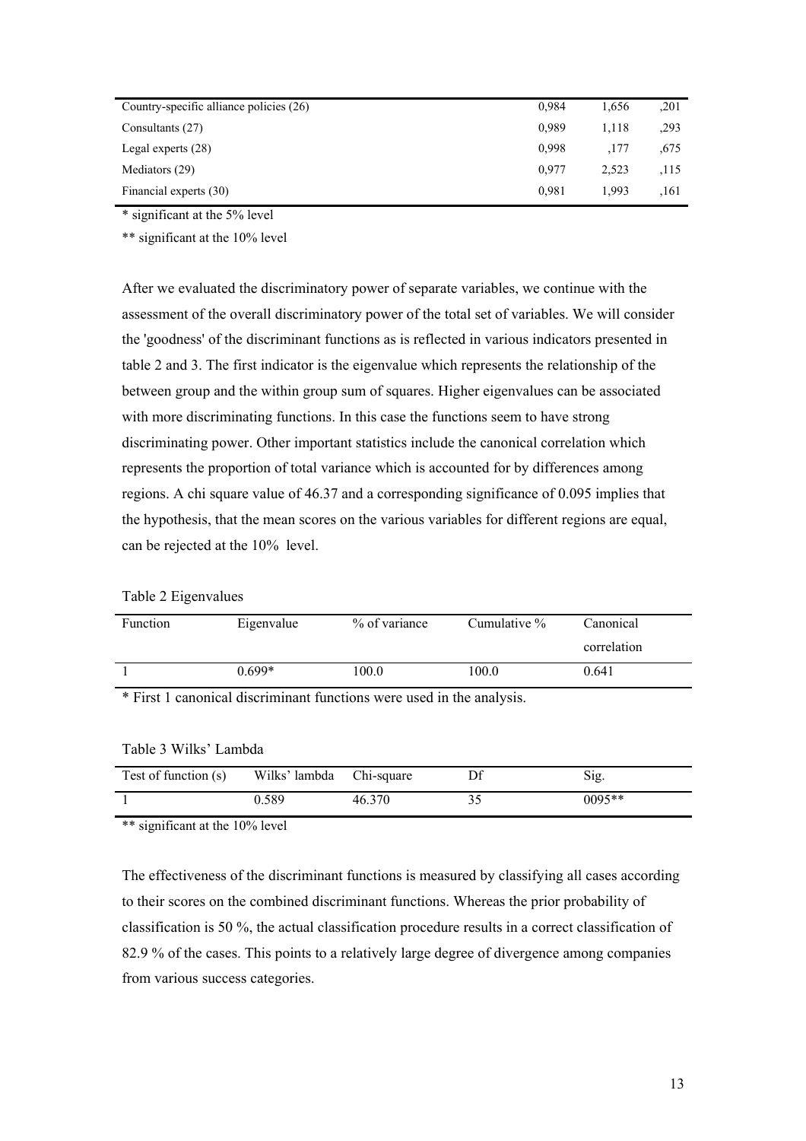| Country-specific alliance policies (26) | 0.984 | 1.656 | ,201 |
|-----------------------------------------|-------|-------|------|
| Consultants (27)                        | 0.989 | 1.118 | ,293 |
| Legal experts $(28)$                    | 0.998 | .177  | ,675 |
| Mediators (29)                          | 0.977 | 2,523 | .115 |
| Financial experts (30)                  | 0.981 | 1.993 | .161 |

\* significant at the 5% level

\*\* significant at the 10% level

After we evaluated the discriminatory power of separate variables, we continue with the assessment of the overall discriminatory power of the total set of variables. We will consider the 'goodness' of the discriminant functions as is reflected in various indicators presented in table 2 and 3. The first indicator is the eigenvalue which represents the relationship of the between group and the within group sum of squares. Higher eigenvalues can be associated with more discriminating functions. In this case the functions seem to have strong discriminating power. Other important statistics include the canonical correlation which represents the proportion of total variance which is accounted for by differences among regions. A chi square value of 46.37 and a corresponding significance of 0.095 implies that the hypothesis, that the mean scores on the various variables for different regions are equal, can be rejected at the 10% level.

#### Table 2 Eigenvalues

| <b>Function</b> | Eigenvalue | $\%$ of variance | Cumulative $\%$ | Canonical   |
|-----------------|------------|------------------|-----------------|-------------|
|                 |            |                  |                 | correlation |
|                 | $0.699*$   | 100.0            | 100.0           | 0.641       |

\* First 1 canonical discriminant functions were used in the analysis.

| Test of function (s) | Wilks' lambda Chi-square |        | Sig.     |
|----------------------|--------------------------|--------|----------|
|                      | 0.589                    | 46.370 | $0095**$ |

#### Table 3 Wilks' Lambda

\*\* significant at the 10% level

The effectiveness of the discriminant functions is measured by classifying all cases according to their scores on the combined discriminant functions. Whereas the prior probability of classification is 50 %, the actual classification procedure results in a correct classification of 82.9 % of the cases. This points to a relatively large degree of divergence among companies from various success categories.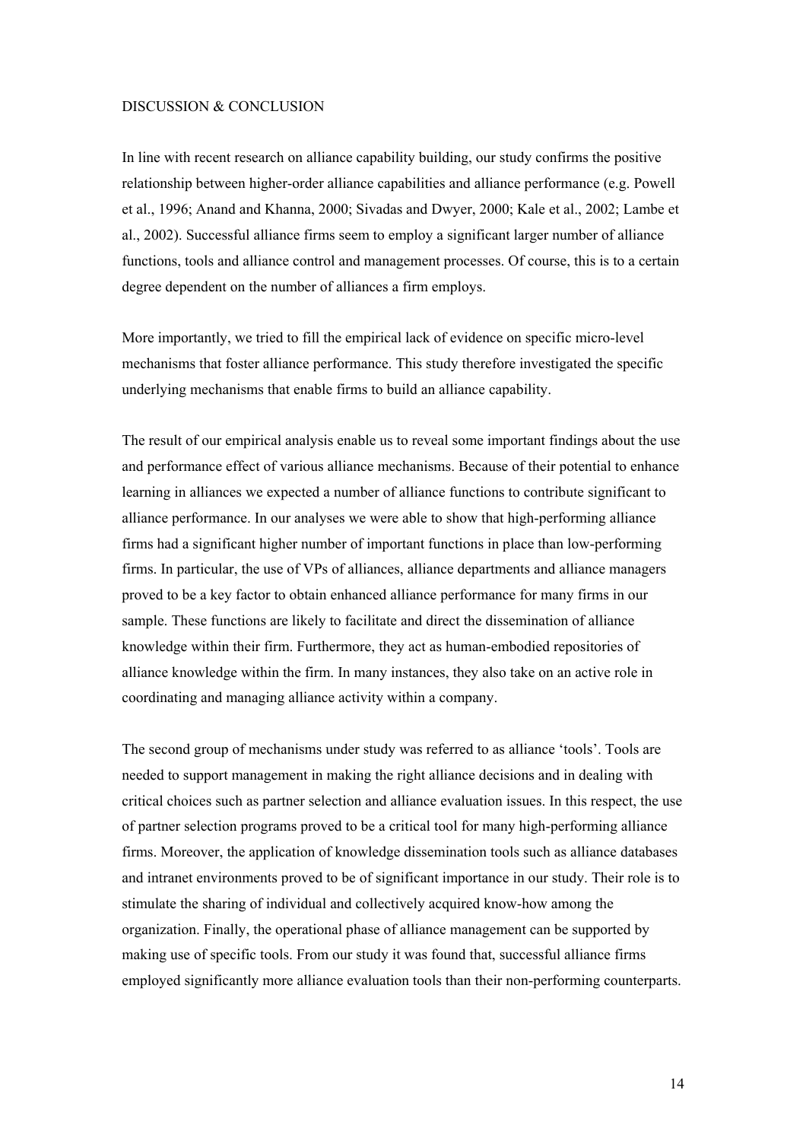#### DISCUSSION & CONCLUSION

In line with recent research on alliance capability building, our study confirms the positive relationship between higher-order alliance capabilities and alliance performance (e.g. Powell et al., 1996; Anand and Khanna, 2000; Sivadas and Dwyer, 2000; Kale et al., 2002; Lambe et al., 2002). Successful alliance firms seem to employ a significant larger number of alliance functions, tools and alliance control and management processes. Of course, this is to a certain degree dependent on the number of alliances a firm employs.

More importantly, we tried to fill the empirical lack of evidence on specific micro-level mechanisms that foster alliance performance. This study therefore investigated the specific underlying mechanisms that enable firms to build an alliance capability.

The result of our empirical analysis enable us to reveal some important findings about the use and performance effect of various alliance mechanisms. Because of their potential to enhance learning in alliances we expected a number of alliance functions to contribute significant to alliance performance. In our analyses we were able to show that high-performing alliance firms had a significant higher number of important functions in place than low-performing firms. In particular, the use of VPs of alliances, alliance departments and alliance managers proved to be a key factor to obtain enhanced alliance performance for many firms in our sample. These functions are likely to facilitate and direct the dissemination of alliance knowledge within their firm. Furthermore, they act as human-embodied repositories of alliance knowledge within the firm. In many instances, they also take on an active role in coordinating and managing alliance activity within a company.

The second group of mechanisms under study was referred to as alliance 'tools'. Tools are needed to support management in making the right alliance decisions and in dealing with critical choices such as partner selection and alliance evaluation issues. In this respect, the use of partner selection programs proved to be a critical tool for many high-performing alliance firms. Moreover, the application of knowledge dissemination tools such as alliance databases and intranet environments proved to be of significant importance in our study. Their role is to stimulate the sharing of individual and collectively acquired know-how among the organization. Finally, the operational phase of alliance management can be supported by making use of specific tools. From our study it was found that, successful alliance firms employed significantly more alliance evaluation tools than their non-performing counterparts.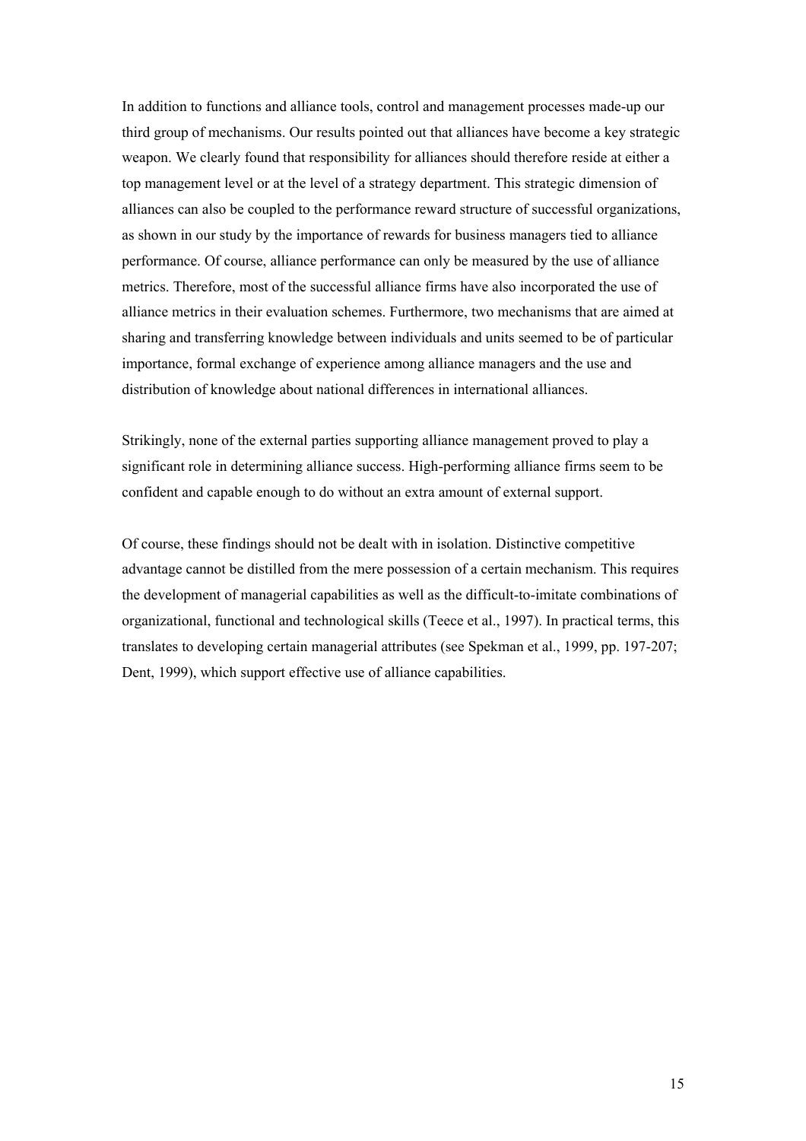In addition to functions and alliance tools, control and management processes made-up our third group of mechanisms. Our results pointed out that alliances have become a key strategic weapon. We clearly found that responsibility for alliances should therefore reside at either a top management level or at the level of a strategy department. This strategic dimension of alliances can also be coupled to the performance reward structure of successful organizations, as shown in our study by the importance of rewards for business managers tied to alliance performance. Of course, alliance performance can only be measured by the use of alliance metrics. Therefore, most of the successful alliance firms have also incorporated the use of alliance metrics in their evaluation schemes. Furthermore, two mechanisms that are aimed at sharing and transferring knowledge between individuals and units seemed to be of particular importance, formal exchange of experience among alliance managers and the use and distribution of knowledge about national differences in international alliances.

Strikingly, none of the external parties supporting alliance management proved to play a significant role in determining alliance success. High-performing alliance firms seem to be confident and capable enough to do without an extra amount of external support.

Of course, these findings should not be dealt with in isolation. Distinctive competitive advantage cannot be distilled from the mere possession of a certain mechanism. This requires the development of managerial capabilities as well as the difficult-to-imitate combinations of organizational, functional and technological skills (Teece et al., 1997). In practical terms, this translates to developing certain managerial attributes (see Spekman et al., 1999, pp. 197-207; Dent, 1999), which support effective use of alliance capabilities.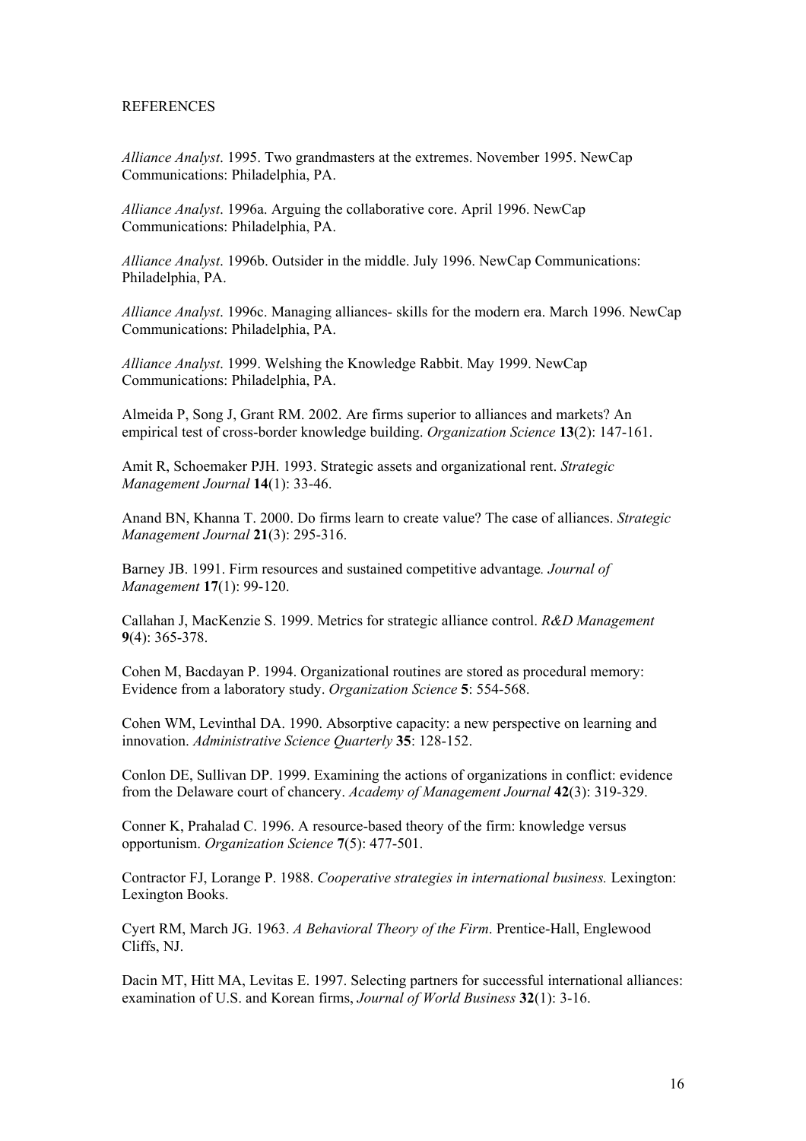#### REFERENCES

*Alliance Analyst*. 1995. Two grandmasters at the extremes. November 1995. NewCap Communications: Philadelphia, PA.

*Alliance Analyst*. 1996a. Arguing the collaborative core. April 1996. NewCap Communications: Philadelphia, PA.

*Alliance Analyst*. 1996b. Outsider in the middle. July 1996. NewCap Communications: Philadelphia, PA.

*Alliance Analyst*. 1996c. Managing alliances- skills for the modern era. March 1996. NewCap Communications: Philadelphia, PA.

*Alliance Analyst*. 1999. Welshing the Knowledge Rabbit. May 1999. NewCap Communications: Philadelphia, PA.

Almeida P, Song J, Grant RM. 2002. Are firms superior to alliances and markets? An empirical test of cross-border knowledge building. *Organization Science* **13**(2): 147-161.

Amit R, Schoemaker PJH. 1993. Strategic assets and organizational rent. *Strategic Management Journal* **14**(1): 33-46.

Anand BN, Khanna T. 2000. Do firms learn to create value? The case of alliances. *Strategic Management Journal* **21**(3): 295-316.

Barney JB. 1991. Firm resources and sustained competitive advantage*. Journal of Management* **17**(1): 99-120.

Callahan J, MacKenzie S. 1999. Metrics for strategic alliance control. *R&D Management* **9**(4): 365-378.

Cohen M, Bacdayan P. 1994. Organizational routines are stored as procedural memory: Evidence from a laboratory study. *Organization Science* **5**: 554-568.

Cohen WM, Levinthal DA. 1990. Absorptive capacity: a new perspective on learning and innovation. *Administrative Science Quarterly* **35**: 128-152.

Conlon DE, Sullivan DP. 1999. Examining the actions of organizations in conflict: evidence from the Delaware court of chancery. *Academy of Management Journal* **42**(3): 319-329.

Conner K, Prahalad C. 1996. A resource-based theory of the firm: knowledge versus opportunism. *Organization Science* **7**(5): 477-501.

Contractor FJ, Lorange P. 1988. *Cooperative strategies in international business.* Lexington: Lexington Books.

Cyert RM, March JG. 1963. *A Behavioral Theory of the Firm*. Prentice-Hall, Englewood Cliffs, NJ.

Dacin MT, Hitt MA, Levitas E. 1997. Selecting partners for successful international alliances: examination of U.S. and Korean firms, *Journal of World Business* **32**(1): 3-16.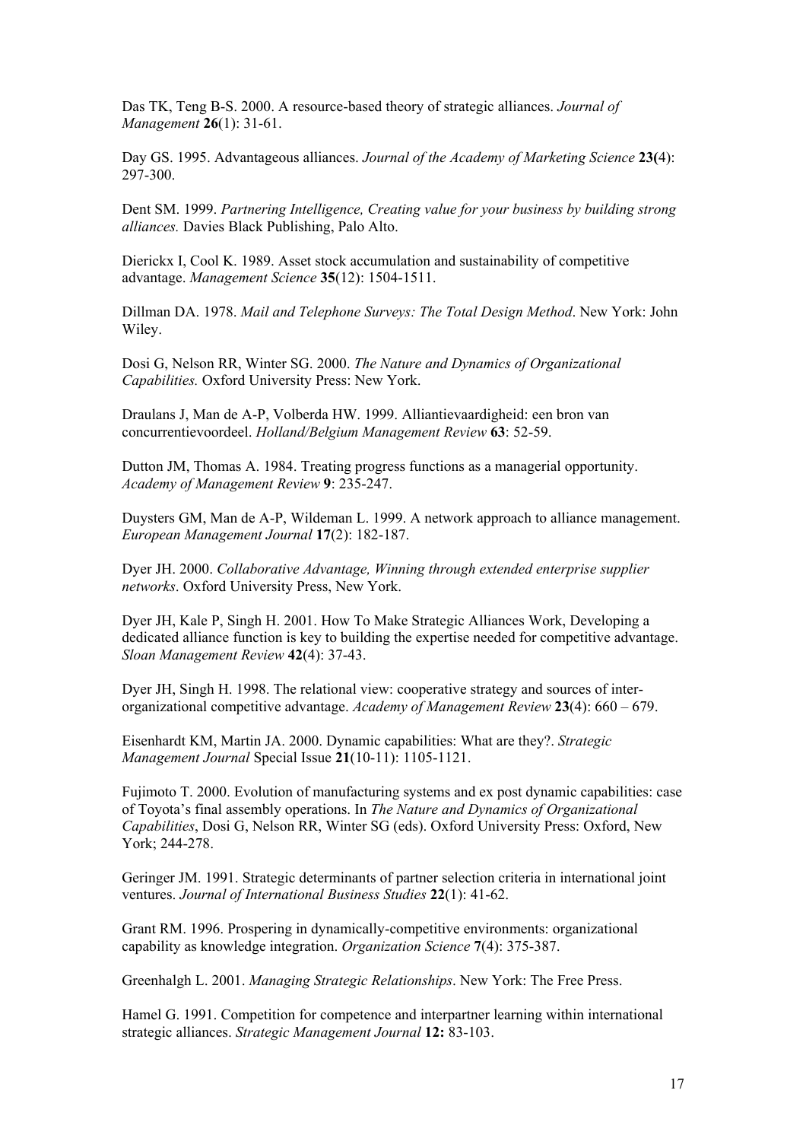Das TK, Teng B-S. 2000. A resource-based theory of strategic alliances. *Journal of Management* **26**(1): 31-61.

Day GS. 1995. Advantageous alliances. *Journal of the Academy of Marketing Science* **23(**4): 297-300.

Dent SM. 1999. *Partnering Intelligence, Creating value for your business by building strong alliances.* Davies Black Publishing, Palo Alto.

Dierickx I, Cool K. 1989. Asset stock accumulation and sustainability of competitive advantage. *Management Science* **35**(12): 1504-1511.

Dillman DA. 1978. *Mail and Telephone Surveys: The Total Design Method*. New York: John Wiley.

Dosi G, Nelson RR, Winter SG. 2000. *The Nature and Dynamics of Organizational Capabilities.* Oxford University Press: New York.

Draulans J, Man de A-P, Volberda HW. 1999. Alliantievaardigheid: een bron van concurrentievoordeel. *Holland/Belgium Management Review* **63**: 52-59.

Dutton JM, Thomas A. 1984. Treating progress functions as a managerial opportunity. *Academy of Management Review* **9**: 235-247.

Duysters GM, Man de A-P, Wildeman L. 1999. A network approach to alliance management. *European Management Journal* **17**(2): 182-187.

Dyer JH. 2000. *Collaborative Advantage, Winning through extended enterprise supplier networks*. Oxford University Press, New York.

Dyer JH, Kale P, Singh H. 2001. How To Make Strategic Alliances Work, Developing a dedicated alliance function is key to building the expertise needed for competitive advantage. *Sloan Management Review* **42**(4): 37-43.

Dyer JH, Singh H. 1998. The relational view: cooperative strategy and sources of interorganizational competitive advantage. *Academy of Management Review* **23**(4): 660 – 679.

Eisenhardt KM, Martin JA. 2000. Dynamic capabilities: What are they?. *Strategic Management Journal* Special Issue **21**(10-11): 1105-1121.

Fujimoto T. 2000. Evolution of manufacturing systems and ex post dynamic capabilities: case of Toyota's final assembly operations. In *The Nature and Dynamics of Organizational Capabilities*, Dosi G, Nelson RR, Winter SG (eds). Oxford University Press: Oxford, New York; 244-278.

Geringer JM. 1991. Strategic determinants of partner selection criteria in international joint ventures. *Journal of International Business Studies* **22**(1): 41-62.

Grant RM. 1996. Prospering in dynamically-competitive environments: organizational capability as knowledge integration. *Organization Science* **7**(4): 375-387.

Greenhalgh L. 2001. *Managing Strategic Relationships*. New York: The Free Press.

Hamel G. 1991. Competition for competence and interpartner learning within international strategic alliances. *Strategic Management Journal* **12:** 83-103.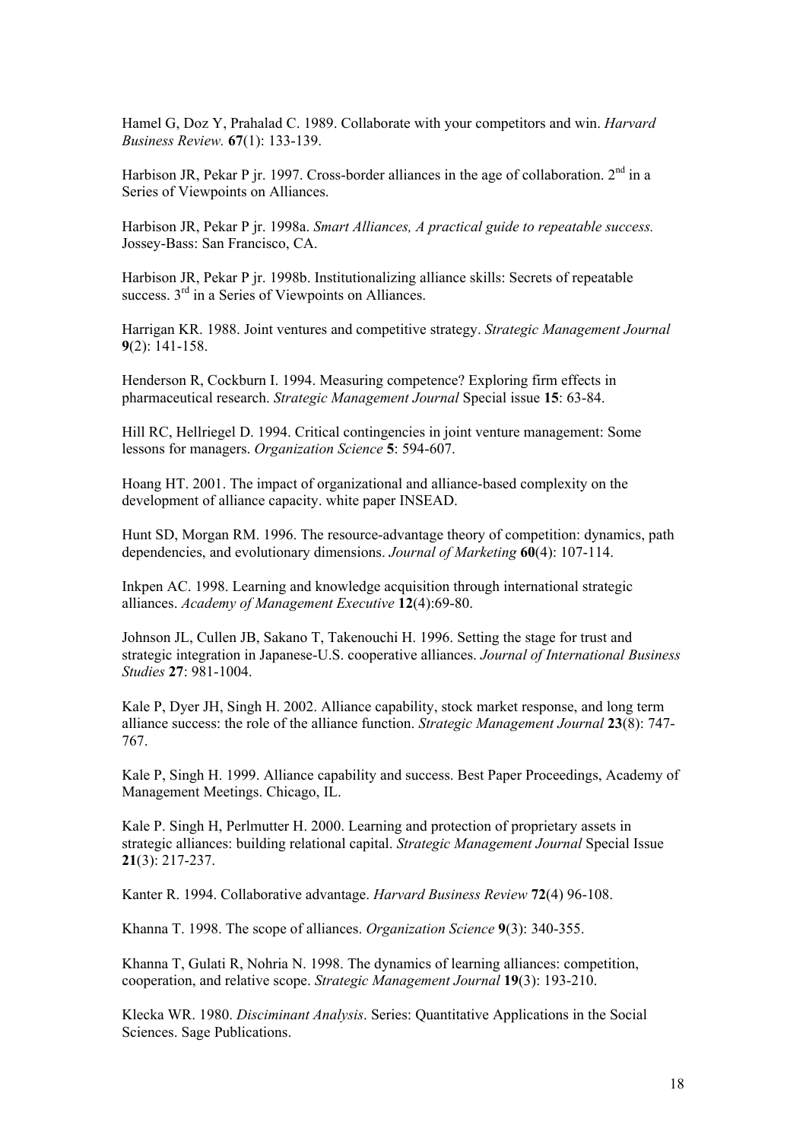Hamel G, Doz Y, Prahalad C. 1989. Collaborate with your competitors and win. *Harvard Business Review.* **67**(1): 133-139.

Harbison JR, Pekar P jr. 1997. Cross-border alliances in the age of collaboration. 2<sup>nd</sup> in a Series of Viewpoints on Alliances.

Harbison JR, Pekar P jr. 1998a. *Smart Alliances, A practical guide to repeatable success.* Jossey-Bass: San Francisco, CA.

Harbison JR, Pekar P jr. 1998b. Institutionalizing alliance skills: Secrets of repeatable success. 3<sup>rd</sup> in a Series of Viewpoints on Alliances.

Harrigan KR. 1988. Joint ventures and competitive strategy. *Strategic Management Journal* **9**(2): 141-158.

Henderson R, Cockburn I. 1994. Measuring competence? Exploring firm effects in pharmaceutical research. *Strategic Management Journal* Special issue **15**: 63-84.

Hill RC, Hellriegel D. 1994. Critical contingencies in joint venture management: Some lessons for managers. *Organization Science* **5**: 594-607.

Hoang HT. 2001. The impact of organizational and alliance-based complexity on the development of alliance capacity. white paper INSEAD.

Hunt SD, Morgan RM. 1996. The resource-advantage theory of competition: dynamics, path dependencies, and evolutionary dimensions. *Journal of Marketing* **60**(4): 107-114.

Inkpen AC. 1998. Learning and knowledge acquisition through international strategic alliances. *Academy of Management Executive* **12**(4):69-80.

Johnson JL, Cullen JB, Sakano T, Takenouchi H. 1996. Setting the stage for trust and strategic integration in Japanese-U.S. cooperative alliances. *Journal of International Business Studies* **27**: 981-1004.

Kale P, Dyer JH, Singh H. 2002. Alliance capability, stock market response, and long term alliance success: the role of the alliance function. *Strategic Management Journal* **23**(8): 747- 767.

Kale P, Singh H. 1999. Alliance capability and success. Best Paper Proceedings, Academy of Management Meetings. Chicago, IL.

Kale P. Singh H, Perlmutter H. 2000. Learning and protection of proprietary assets in strategic alliances: building relational capital. *Strategic Management Journal* Special Issue **21**(3): 217-237.

Kanter R. 1994. Collaborative advantage. *Harvard Business Review* **72**(4) 96-108.

Khanna T. 1998. The scope of alliances. *Organization Science* **9**(3): 340-355.

Khanna T, Gulati R, Nohria N. 1998. The dynamics of learning alliances: competition, cooperation, and relative scope. *Strategic Management Journal* **19**(3): 193-210.

Klecka WR. 1980. *Disciminant Analysis*. Series: Quantitative Applications in the Social Sciences. Sage Publications.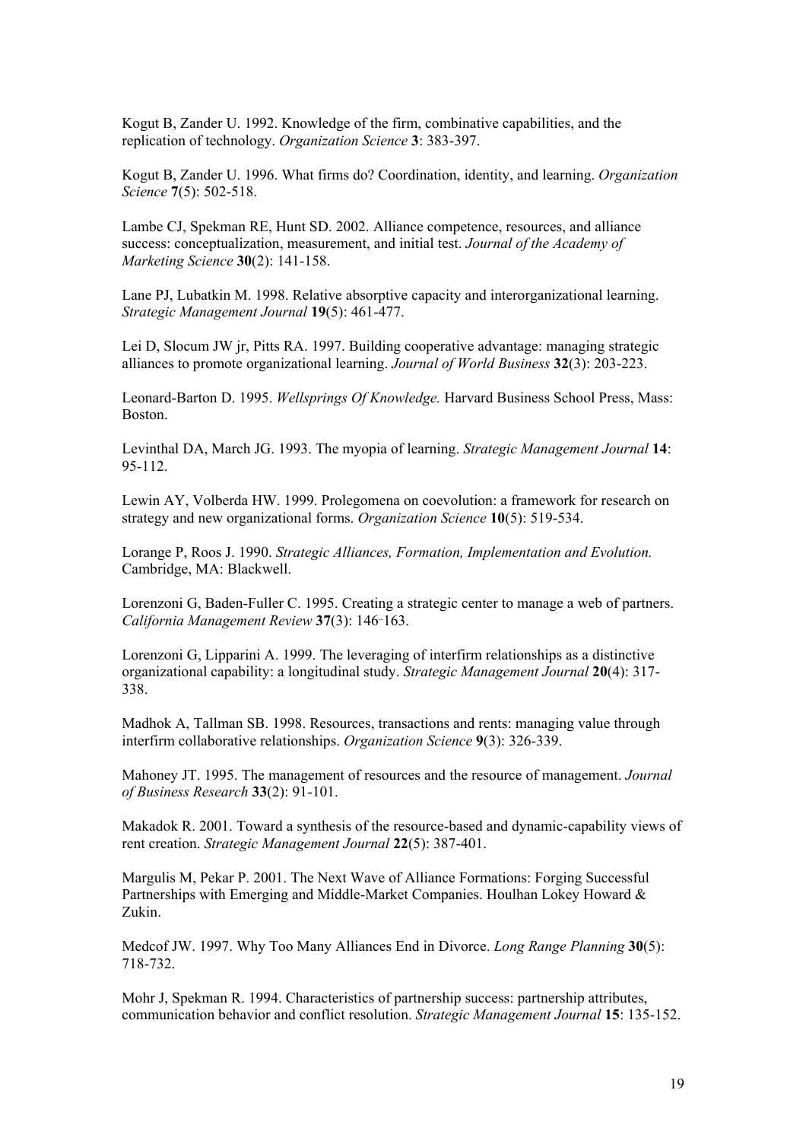Kogut B, Zander U. 1992. Knowledge of the firm, combinative capabilities, and the replication of technology. *Organization Science* **3**: 383-397.

Kogut B, Zander U. 1996. What firms do? Coordination, identity, and learning. *Organization Science* **7**(5): 502-518.

Lambe CJ, Spekman RE, Hunt SD. 2002. Alliance competence, resources, and alliance success: conceptualization, measurement, and initial test. *Journal of the Academy of Marketing Science* **30**(2): 141-158.

Lane PJ, Lubatkin M. 1998. Relative absorptive capacity and interorganizational learning. *Strategic Management Journal* **19**(5): 461-477.

Lei D, Slocum JW jr, Pitts RA. 1997. Building cooperative advantage: managing strategic alliances to promote organizational learning. *Journal of World Business* **32**(3): 203-223.

Leonard-Barton D. 1995. *Wellsprings Of Knowledge.* Harvard Business School Press, Mass: Boston.

Levinthal DA, March JG. 1993. The myopia of learning. *Strategic Management Journal* **14**: 95-112.

Lewin AY, Volberda HW. 1999. Prolegomena on coevolution: a framework for research on strategy and new organizational forms. *Organization Science* **10**(5): 519-534.

Lorange P, Roos J. 1990. *Strategic Alliances, Formation, Implementation and Evolution.* Cambridge, MA: Blackwell.

Lorenzoni G, Baden-Fuller C. 1995. Creating a strategic center to manage a web of partners. *California Management Review* **37**(3): 146¯163.

Lorenzoni G, Lipparini A. 1999. The leveraging of interfirm relationships as a distinctive organizational capability: a longitudinal study. *Strategic Management Journal* **20**(4): 317- 338.

Madhok A, Tallman SB. 1998. Resources, transactions and rents: managing value through interfirm collaborative relationships. *Organization Science* **9**(3): 326-339.

Mahoney JT. 1995. The management of resources and the resource of management. *Journal of Business Research* **33**(2): 91-101.

Makadok R. 2001. Toward a synthesis of the resource-based and dynamic-capability views of rent creation. *Strategic Management Journal* **22**(5): 387-401.

Margulis M, Pekar P. 2001. The Next Wave of Alliance Formations: Forging Successful Partnerships with Emerging and Middle-Market Companies. Houlhan Lokey Howard & Zukin.

Medcof JW. 1997. Why Too Many Alliances End in Divorce. *Long Range Planning* **30**(5): 718-732.

Mohr J, Spekman R. 1994. Characteristics of partnership success: partnership attributes, communication behavior and conflict resolution. *Strategic Management Journal* **15**: 135-152.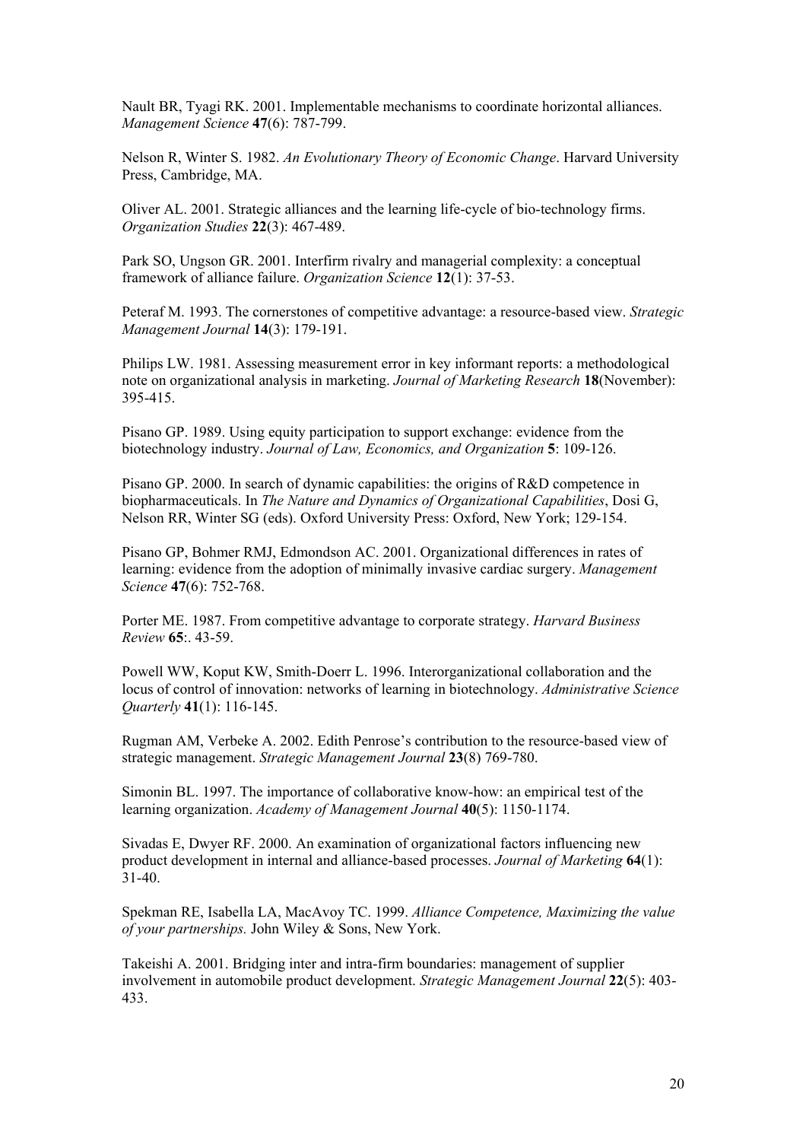Nault BR, Tyagi RK. 2001. Implementable mechanisms to coordinate horizontal alliances. *Management Science* **47**(6): 787-799.

Nelson R, Winter S. 1982. *An Evolutionary Theory of Economic Change*. Harvard University Press, Cambridge, MA.

Oliver AL. 2001. Strategic alliances and the learning life-cycle of bio-technology firms. *Organization Studies* **22**(3): 467-489.

Park SO, Ungson GR. 2001. Interfirm rivalry and managerial complexity: a conceptual framework of alliance failure. *Organization Science* **12**(1): 37-53.

Peteraf M. 1993. The cornerstones of competitive advantage: a resource-based view. *Strategic Management Journal* **14**(3): 179-191.

Philips LW. 1981. Assessing measurement error in key informant reports: a methodological note on organizational analysis in marketing. *Journal of Marketing Research* **18**(November): 395-415.

Pisano GP. 1989. Using equity participation to support exchange: evidence from the biotechnology industry. *Journal of Law, Economics, and Organization* **5**: 109-126.

Pisano GP. 2000. In search of dynamic capabilities: the origins of R&D competence in biopharmaceuticals. In *The Nature and Dynamics of Organizational Capabilities*, Dosi G, Nelson RR, Winter SG (eds). Oxford University Press: Oxford, New York; 129-154.

Pisano GP, Bohmer RMJ, Edmondson AC. 2001. Organizational differences in rates of learning: evidence from the adoption of minimally invasive cardiac surgery. *Management Science* **47**(6): 752-768.

Porter ME. 1987. From competitive advantage to corporate strategy. *Harvard Business Review* **65**:. 43-59.

Powell WW, Koput KW, Smith-Doerr L. 1996. Interorganizational collaboration and the locus of control of innovation: networks of learning in biotechnology. *Administrative Science Quarterly* **41**(1): 116-145.

Rugman AM, Verbeke A. 2002. Edith Penrose's contribution to the resource-based view of strategic management. *Strategic Management Journal* **23**(8) 769-780.

Simonin BL. 1997. The importance of collaborative know-how: an empirical test of the learning organization. *Academy of Management Journal* **40**(5): 1150-1174.

Sivadas E, Dwyer RF. 2000. An examination of organizational factors influencing new product development in internal and alliance-based processes. *Journal of Marketing* **64**(1): 31-40.

Spekman RE, Isabella LA, MacAvoy TC. 1999. *Alliance Competence, Maximizing the value of your partnerships.* John Wiley & Sons, New York.

Takeishi A. 2001. Bridging inter and intra-firm boundaries: management of supplier involvement in automobile product development. *Strategic Management Journal* **22**(5): 403- 433.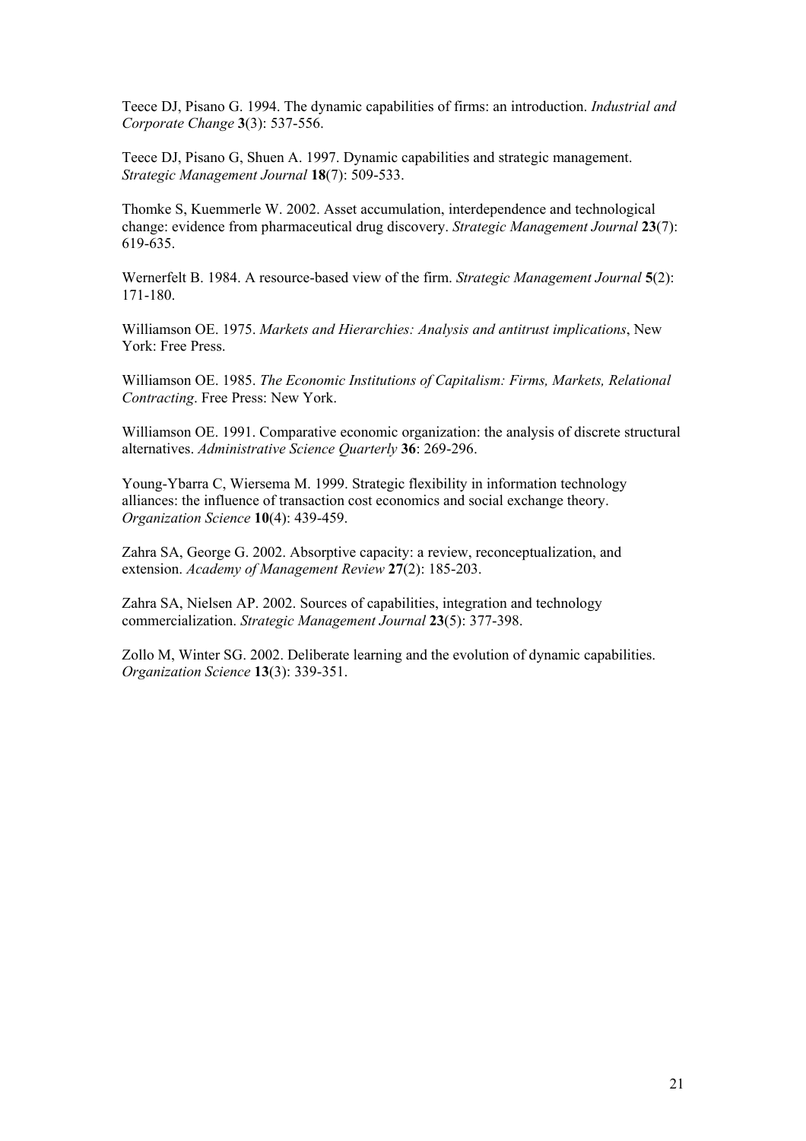Teece DJ, Pisano G. 1994. The dynamic capabilities of firms: an introduction. *Industrial and Corporate Change* **3**(3): 537-556.

Teece DJ, Pisano G, Shuen A. 1997. Dynamic capabilities and strategic management. *Strategic Management Journal* **18**(7): 509-533.

Thomke S, Kuemmerle W. 2002. Asset accumulation, interdependence and technological change: evidence from pharmaceutical drug discovery. *Strategic Management Journal* **23**(7): 619-635.

Wernerfelt B. 1984. A resource-based view of the firm. *Strategic Management Journal* **5**(2): 171-180.

Williamson OE. 1975. *Markets and Hierarchies: Analysis and antitrust implications*, New York: Free Press.

Williamson OE. 1985. *The Economic Institutions of Capitalism: Firms, Markets, Relational Contracting*. Free Press: New York.

Williamson OE. 1991. Comparative economic organization: the analysis of discrete structural alternatives. *Administrative Science Quarterly* **36**: 269-296.

Young-Ybarra C, Wiersema M. 1999. Strategic flexibility in information technology alliances: the influence of transaction cost economics and social exchange theory. *Organization Science* **10**(4): 439-459.

Zahra SA, George G. 2002. Absorptive capacity: a review, reconceptualization, and extension. *Academy of Management Review* **27**(2): 185-203.

Zahra SA, Nielsen AP. 2002. Sources of capabilities, integration and technology commercialization. *Strategic Management Journal* **23**(5): 377-398.

Zollo M, Winter SG. 2002. Deliberate learning and the evolution of dynamic capabilities. *Organization Science* **13**(3): 339-351.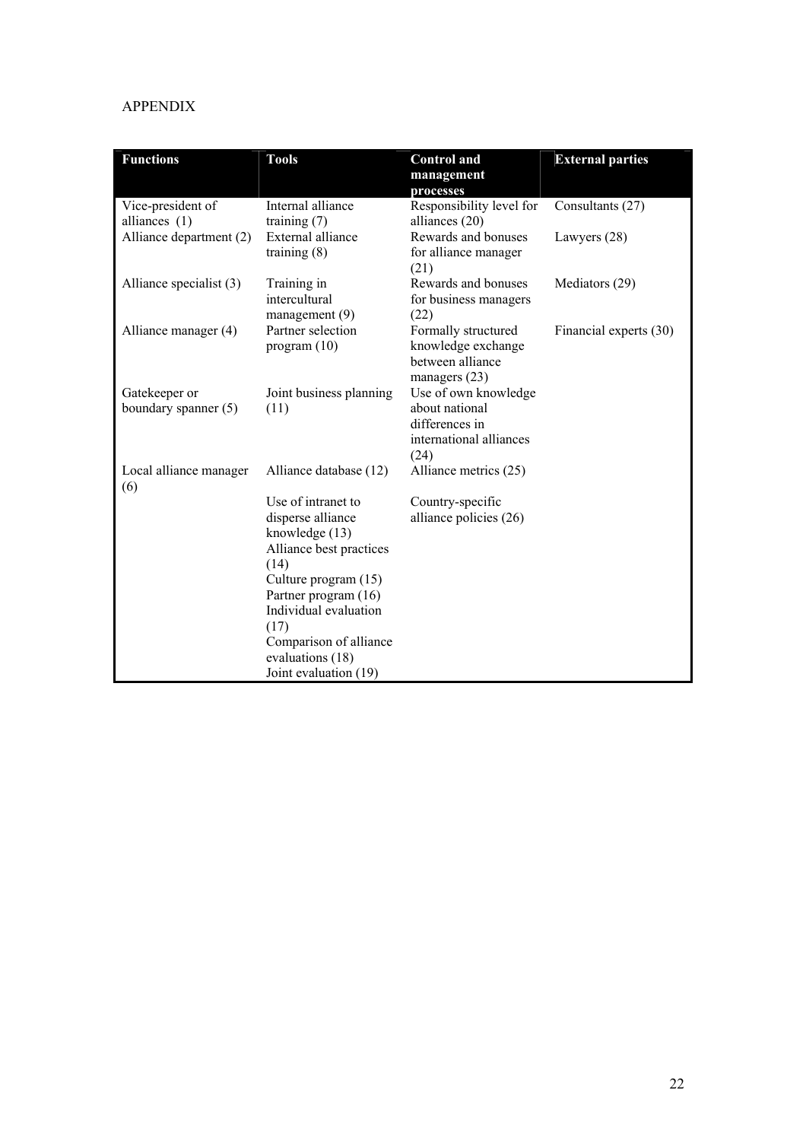## APPENDIX

| <b>Functions</b>                      | <b>Tools</b>                                                                                                                                                                                                                                         | <b>Control</b> and                                                                          | <b>External parties</b> |
|---------------------------------------|------------------------------------------------------------------------------------------------------------------------------------------------------------------------------------------------------------------------------------------------------|---------------------------------------------------------------------------------------------|-------------------------|
|                                       |                                                                                                                                                                                                                                                      | management<br>processes                                                                     |                         |
| Vice-president of<br>alliances $(1)$  | Internal alliance<br>training $(7)$                                                                                                                                                                                                                  | Responsibility level for<br>alliances (20)                                                  | Consultants (27)        |
| Alliance department (2)               | External alliance<br>training $(8)$                                                                                                                                                                                                                  | Rewards and bonuses<br>for alliance manager<br>(21)                                         | Lawyers $(28)$          |
| Alliance specialist (3)               | Training in<br>intercultural<br>$m$ anagement $(9)$                                                                                                                                                                                                  | Rewards and bonuses<br>for business managers<br>(22)                                        | Mediators (29)          |
| Alliance manager (4)                  | Partner selection<br>program (10)                                                                                                                                                                                                                    | Formally structured<br>knowledge exchange<br>between alliance<br>managers $(23)$            | Financial experts (30)  |
| Gatekeeper or<br>boundary spanner (5) | Joint business planning<br>(11)                                                                                                                                                                                                                      | Use of own knowledge<br>about national<br>differences in<br>international alliances<br>(24) |                         |
| Local alliance manager<br>(6)         | Alliance database (12)                                                                                                                                                                                                                               | Alliance metrics (25)                                                                       |                         |
|                                       | Use of intranet to<br>disperse alliance<br>knowledge (13)<br>Alliance best practices<br>(14)<br>Culture program (15)<br>Partner program (16)<br>Individual evaluation<br>(17)<br>Comparison of alliance<br>evaluations (18)<br>Joint evaluation (19) | Country-specific<br>alliance policies (26)                                                  |                         |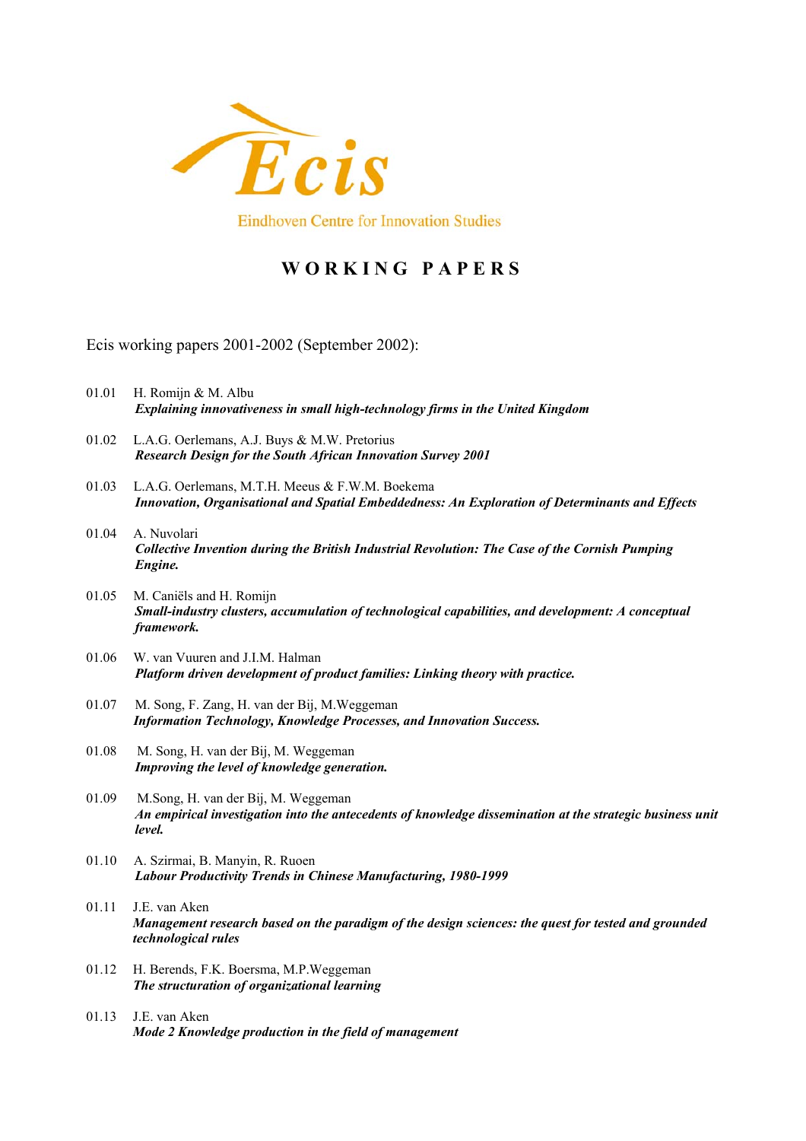

# **W O R K I N G P A P E R S**

Ecis working papers 2001-2002 (September 2002):

- 01.01 H. Romijn & M. Albu *Explaining innovativeness in small high-technology firms in the United Kingdom*
- 01.02 L.A.G. Oerlemans, A.J. Buys & M.W. Pretorius *Research Design for the South African Innovation Survey 2001*
- 01.03 L.A.G. Oerlemans, M.T.H. Meeus & F.W.M. Boekema *Innovation, Organisational and Spatial Embeddedness: An Exploration of Determinants and Effects*
- 01.04 A. Nuvolari *Collective Invention during the British Industrial Revolution: The Case of the Cornish Pumping Engine.*
- 01.05 M. Caniëls and H. Romijn *Small-industry clusters, accumulation of technological capabilities, and development: A conceptual framework.*
- 01.06 W. van Vuuren and J.I.M. Halman *Platform driven development of product families: Linking theory with practice.*
- 01.07 M. Song, F. Zang, H. van der Bij, M.Weggeman  *Information Technology, Knowledge Processes, and Innovation Success.*
- 01.08 M. Song, H. van der Bij, M. Weggeman *Improving the level of knowledge generation.*
- 01.09 M.Song, H. van der Bij, M. Weggeman *An empirical investigation into the antecedents of knowledge dissemination at the strategic business unit level.*
- 01.10 A. Szirmai, B. Manyin, R. Ruoen *Labour Productivity Trends in Chinese Manufacturing, 1980-1999*
- 01.11 J.E. van Aken *Management research based on the paradigm of the design sciences: the quest for tested and grounded technological rules*
- 01.12 H. Berends, F.K. Boersma, M.P.Weggeman *The structuration of organizational learning*
- 01.13 J.E. van Aken *Mode 2 Knowledge production in the field of management*